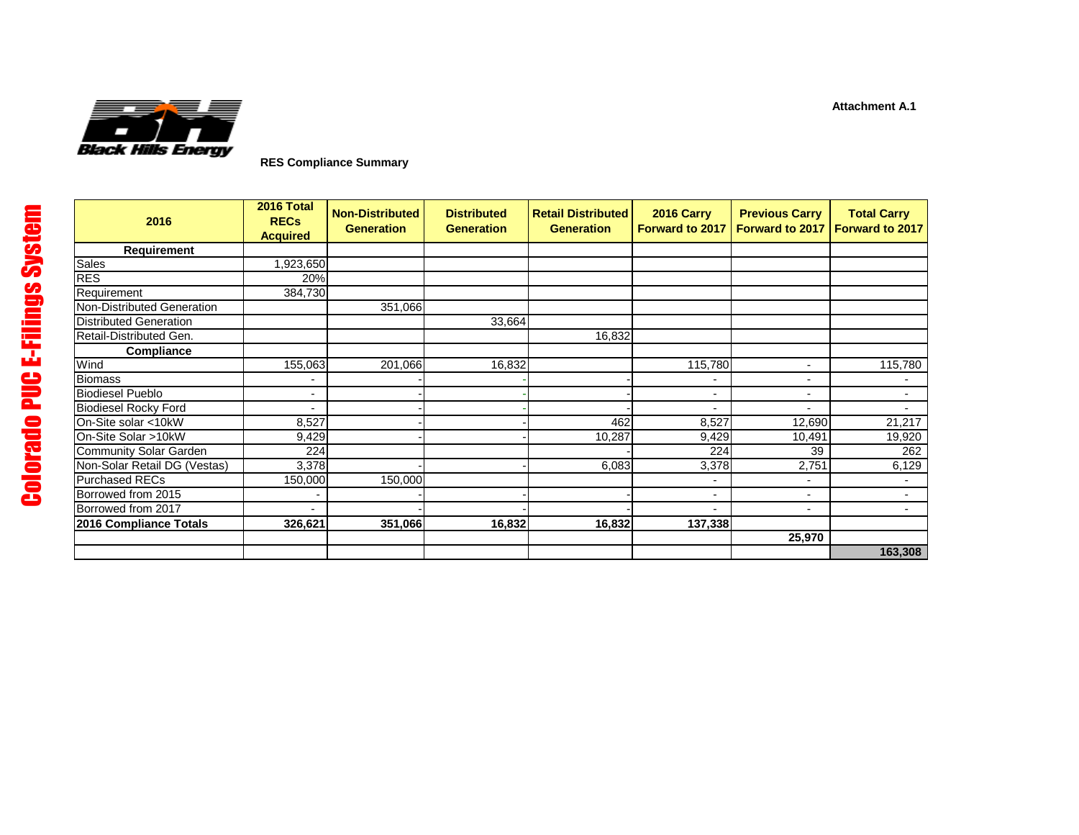

**RES Compliance Summary**

| 2016                          | 2016 Total<br><b>RECs</b><br><b>Acquired</b> | <b>Non-Distributed</b><br><b>Generation</b> | <b>Distributed</b><br><b>Generation</b> | <b>Retail Distributed</b><br><b>Generation</b> | 2016 Carry<br><b>Forward to 2017</b> | <b>Previous Carry</b><br><b>Forward to 2017</b> | <b>Total Carry</b><br>Forward to 2017 |
|-------------------------------|----------------------------------------------|---------------------------------------------|-----------------------------------------|------------------------------------------------|--------------------------------------|-------------------------------------------------|---------------------------------------|
| Requirement                   |                                              |                                             |                                         |                                                |                                      |                                                 |                                       |
| <b>Sales</b>                  | 1,923,650                                    |                                             |                                         |                                                |                                      |                                                 |                                       |
| RES                           | 20%                                          |                                             |                                         |                                                |                                      |                                                 |                                       |
| Requirement                   | 384,730                                      |                                             |                                         |                                                |                                      |                                                 |                                       |
| Non-Distributed Generation    |                                              | 351,066                                     |                                         |                                                |                                      |                                                 |                                       |
| <b>Distributed Generation</b> |                                              |                                             | 33,664                                  |                                                |                                      |                                                 |                                       |
| Retail-Distributed Gen.       |                                              |                                             |                                         | 16,832                                         |                                      |                                                 |                                       |
| Compliance                    |                                              |                                             |                                         |                                                |                                      |                                                 |                                       |
| Wind                          | 155,063                                      | 201,066                                     | 16,832                                  |                                                | 115,780                              | $\blacksquare$                                  | 115,780                               |
| <b>Biomass</b>                |                                              |                                             |                                         |                                                |                                      | $\blacksquare$                                  |                                       |
| <b>Biodiesel Pueblo</b>       | $\blacksquare$                               |                                             |                                         |                                                | $\overline{\phantom{a}}$             | $\overline{\phantom{a}}$                        |                                       |
| <b>Biodiesel Rocky Ford</b>   |                                              |                                             |                                         |                                                | $\overline{a}$                       | $\overline{\phantom{a}}$                        | $\overline{\phantom{0}}$              |
| On-Site solar <10kW           | 8,527                                        |                                             |                                         | 462                                            | 8,527                                | 12,690                                          | 21,217                                |
| On-Site Solar >10kW           | 9,429                                        |                                             |                                         | 10,287                                         | 9,429                                | 10,491                                          | 19,920                                |
| Community Solar Garden        | 224                                          |                                             |                                         |                                                | 224                                  | 39                                              | 262                                   |
| Non-Solar Retail DG (Vestas)  | 3,378                                        |                                             |                                         | 6,083                                          | 3,378                                | 2,751                                           | 6,129                                 |
| <b>Purchased RECs</b>         | 150,000                                      | 150,000                                     |                                         |                                                | $\overline{\phantom{a}}$             | $\blacksquare$                                  |                                       |
| Borrowed from 2015            |                                              |                                             |                                         |                                                | $\overline{\phantom{a}}$             | $\overline{\phantom{a}}$                        |                                       |
| Borrowed from 2017            |                                              |                                             |                                         |                                                | $\blacksquare$                       | $\overline{\phantom{a}}$                        |                                       |
| 2016 Compliance Totals        | 326,621                                      | 351,066                                     | 16,832                                  | 16,832                                         | 137,338                              |                                                 |                                       |
|                               |                                              |                                             |                                         |                                                |                                      | 25,970                                          |                                       |
|                               |                                              |                                             |                                         |                                                |                                      |                                                 | 163,308                               |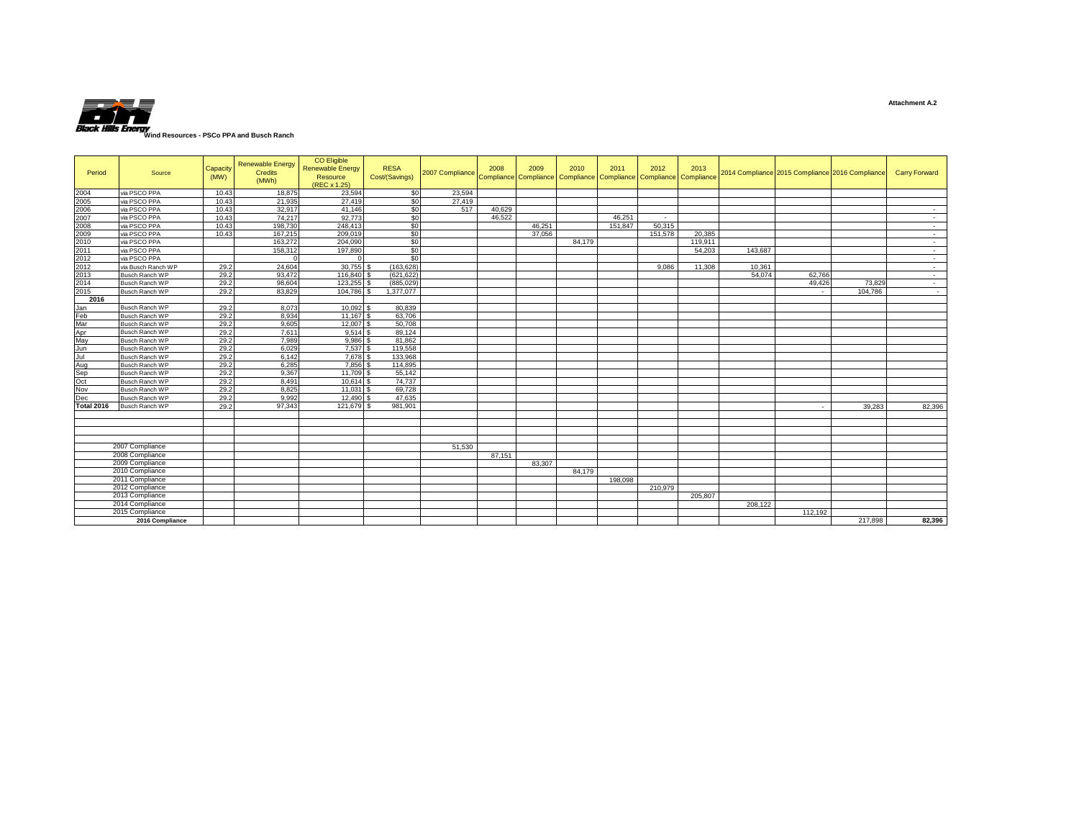

| Period            | Source                | Capacity<br>(MW) | <b>Renewable Energy</b><br>Credits<br>(MWh) | CO Eligible<br><b>Renewable Energy</b><br>Resource<br>(REC x 1.25) | <b>RESA</b><br>Cost/(Savings) | 2007 Compliance Compliance Compliance Compliance Compliance Compliance Compliance | 2008   | 2009   | 2010   | 2011    | 2012    | 2013    |         | 2014 Compliance 2015 Compliance 2016 Compliance |         | <b>Carry Forward</b> |
|-------------------|-----------------------|------------------|---------------------------------------------|--------------------------------------------------------------------|-------------------------------|-----------------------------------------------------------------------------------|--------|--------|--------|---------|---------|---------|---------|-------------------------------------------------|---------|----------------------|
| 2004              | via PSCO PPA          | 10.43            | 18,875                                      | 23,594                                                             | \$0                           | 23,594                                                                            |        |        |        |         |         |         |         |                                                 |         |                      |
| 2005              | via PSCO PPA          | 10.43            | 21.935                                      | 27,419                                                             | \$0                           | 27.419                                                                            |        |        |        |         |         |         |         |                                                 |         |                      |
| 2006              | via PSCO PPA          | 10.43            | 32,917                                      | 41.146                                                             | \$0                           | 517                                                                               | 40.629 |        |        |         |         |         |         |                                                 |         | $\sim$               |
| 2007              | via PSCO PPA          | 10.43            | 74,217                                      | 92.773                                                             | \$0                           |                                                                                   | 46.522 |        |        | 46.251  |         |         |         |                                                 |         | $\sim$               |
| 2008              | via PSCO PPA          | 10.43            | 198,730                                     | 248,413                                                            | S <sub>0</sub>                |                                                                                   |        | 46.251 |        | 151,847 | 50.315  |         |         |                                                 |         | $\sim$               |
| 2009              | via PSCO PPA          | 10.43            | 167,215                                     | 209,019                                                            | \$0                           |                                                                                   |        | 37,056 |        |         | 151,578 | 20.385  |         |                                                 |         | $\sim$               |
| 2010              | via PSCO PPA          |                  | 163,272                                     | 204.090                                                            | S <sub>0</sub>                |                                                                                   |        |        | 84.179 |         |         | 119,911 |         |                                                 |         | $\sim$               |
| 2011              | via PSCO PPA          |                  | 158,312                                     | 197,890                                                            | S <sub>0</sub>                |                                                                                   |        |        |        |         |         | 54,203  | 143,687 |                                                 |         | $\sim$               |
| 2012              | via PSCO PPA          |                  |                                             |                                                                    | \$0                           |                                                                                   |        |        |        |         |         |         |         |                                                 |         | $\sim$               |
| 2012              | via Busch Ranch WP    | 29.2             | 24,604                                      | $30.755$ \$                                                        | (163.628)                     |                                                                                   |        |        |        |         | 9.086   | 11,308  | 10.361  |                                                 |         | $\sim$               |
| 2013              | <b>Busch Ranch WP</b> | 29.2             | 93.472                                      | 116,840 \$                                                         | (621, 622)                    |                                                                                   |        |        |        |         |         |         | 54.074  | 62,766                                          |         | $\sim$               |
| 2014              | Busch Ranch WP        | 29.2             | 98.604                                      | 123.255                                                            | (885.029)                     |                                                                                   |        |        |        |         |         |         |         | 49.426                                          | 73,829  | $\sim$               |
| 2015              | <b>Busch Ranch WP</b> | 29.2             | 83,829                                      | 104,786 \$                                                         | 1.377.077                     |                                                                                   |        |        |        |         |         |         |         |                                                 | 104.786 | $\sim$               |
| 2016              |                       |                  |                                             |                                                                    |                               |                                                                                   |        |        |        |         |         |         |         |                                                 |         |                      |
| Jan               | <b>Busch Ranch WP</b> | 29.2             | 8.073                                       | $10.092$ \$                                                        | 80.839                        |                                                                                   |        |        |        |         |         |         |         |                                                 |         |                      |
| Feb               | Busch Ranch WP        | 29.2             | 8,934                                       | 11,167 \$                                                          | 63,706                        |                                                                                   |        |        |        |         |         |         |         |                                                 |         |                      |
| Mar               | <b>Busch Ranch WP</b> | 29.2             | 9,605                                       | 12,007 \$                                                          | 50,708                        |                                                                                   |        |        |        |         |         |         |         |                                                 |         |                      |
| Apr               | <b>Busch Ranch WP</b> | 29.2             | 7,611                                       | $9.514$ \$                                                         | 89.124                        |                                                                                   |        |        |        |         |         |         |         |                                                 |         |                      |
| May               | Busch Ranch WP        | 29.2             | 7,989                                       | $9,986$ \$                                                         | 81,862                        |                                                                                   |        |        |        |         |         |         |         |                                                 |         |                      |
| Jun               | <b>Busch Ranch WP</b> | 29.2             | 6,029                                       | $7.537$ \$                                                         | 119,558                       |                                                                                   |        |        |        |         |         |         |         |                                                 |         |                      |
| Jul               | <b>Busch Ranch WP</b> | 29.2             | 6.142                                       | 7.678 \$                                                           | 133,968                       |                                                                                   |        |        |        |         |         |         |         |                                                 |         |                      |
| Aug               | Busch Ranch WP        | 29.2             | 6,285                                       | 7,856 \$                                                           | 114,895                       |                                                                                   |        |        |        |         |         |         |         |                                                 |         |                      |
| Sep               | <b>Busch Ranch WP</b> | 29.2             | 9,367                                       | 11.709 \$                                                          | 55.142                        |                                                                                   |        |        |        |         |         |         |         |                                                 |         |                      |
| Oct               | Busch Ranch WP        | 29.2             | 8,491                                       | 10.614 \$                                                          | 74,737                        |                                                                                   |        |        |        |         |         |         |         |                                                 |         |                      |
| Nov               | Busch Ranch WP        | 29.2             | 8,825                                       | $11,031$ \$                                                        | 69,728                        |                                                                                   |        |        |        |         |         |         |         |                                                 |         |                      |
| Dec               | <b>Busch Ranch WP</b> | 29.2             | 9,992                                       | 12.490 \$                                                          | 47,635                        |                                                                                   |        |        |        |         |         |         |         |                                                 |         |                      |
| <b>Total 2016</b> | Busch Ranch WP        | 29.2             | 97.343                                      | 121.679 \$                                                         | 981.901                       |                                                                                   |        |        |        |         |         |         |         |                                                 | 39.283  | 82,396               |
|                   |                       |                  |                                             |                                                                    |                               |                                                                                   |        |        |        |         |         |         |         |                                                 |         |                      |
|                   |                       |                  |                                             |                                                                    |                               |                                                                                   |        |        |        |         |         |         |         |                                                 |         |                      |
|                   |                       |                  |                                             |                                                                    |                               |                                                                                   |        |        |        |         |         |         |         |                                                 |         |                      |
|                   |                       |                  |                                             |                                                                    |                               |                                                                                   |        |        |        |         |         |         |         |                                                 |         |                      |
|                   | 2007 Compliance       |                  |                                             |                                                                    |                               | 51.530                                                                            |        |        |        |         |         |         |         |                                                 |         |                      |
|                   | 2008 Compliance       |                  |                                             |                                                                    |                               |                                                                                   | 87.151 |        |        |         |         |         |         |                                                 |         |                      |
|                   | 2009 Compliance       |                  |                                             |                                                                    |                               |                                                                                   |        | 83.307 |        |         |         |         |         |                                                 |         |                      |
|                   | 2010 Compliance       |                  |                                             |                                                                    |                               |                                                                                   |        |        | 84.179 |         |         |         |         |                                                 |         |                      |
|                   | 2011 Compliance       |                  |                                             |                                                                    |                               |                                                                                   |        |        |        | 198,098 |         |         |         |                                                 |         |                      |
|                   | 2012 Compliance       |                  |                                             |                                                                    |                               |                                                                                   |        |        |        |         | 210,979 |         |         |                                                 |         |                      |
|                   | 2013 Compliance       |                  |                                             |                                                                    |                               |                                                                                   |        |        |        |         |         | 205,807 |         |                                                 |         |                      |
|                   | 2014 Compliance       |                  |                                             |                                                                    |                               |                                                                                   |        |        |        |         |         |         | 208.122 |                                                 |         |                      |
|                   | 2015 Compliance       |                  |                                             |                                                                    |                               |                                                                                   |        |        |        |         |         |         |         | 112,192                                         |         |                      |
|                   | 2016 Compliance       |                  |                                             |                                                                    |                               |                                                                                   |        |        |        |         |         |         |         |                                                 | 217,898 | 82,396               |
|                   |                       |                  |                                             |                                                                    |                               |                                                                                   |        |        |        |         |         |         |         |                                                 |         |                      |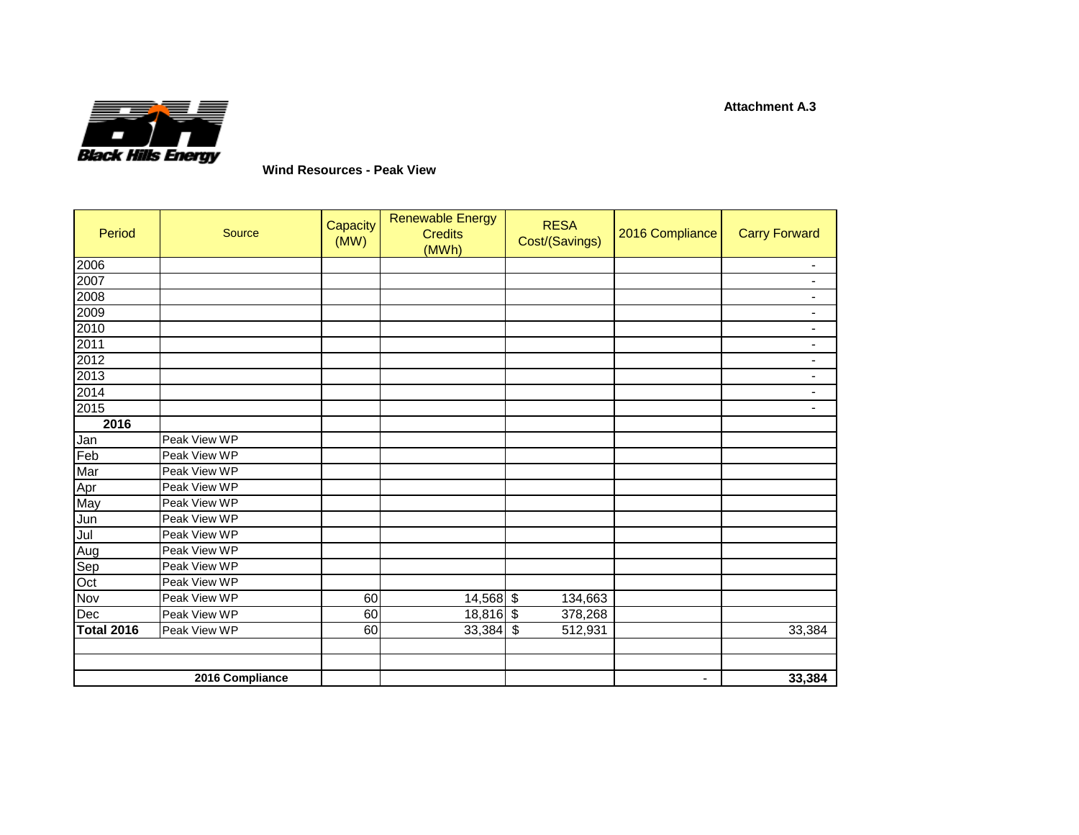

**Wind Resources - Peak View** 

| Period            | Source          | <b>Capacity</b><br>(MW) | <b>Renewable Energy</b><br><b>Credits</b><br>(MWh) | <b>RESA</b><br>Cost/(Savings) | 2016 Compliance | <b>Carry Forward</b>     |
|-------------------|-----------------|-------------------------|----------------------------------------------------|-------------------------------|-----------------|--------------------------|
| 2006              |                 |                         |                                                    |                               |                 | $\overline{\phantom{0}}$ |
| 2007              |                 |                         |                                                    |                               |                 | $\blacksquare$           |
| 2008              |                 |                         |                                                    |                               |                 | -                        |
| 2009              |                 |                         |                                                    |                               |                 | $\blacksquare$           |
| 2010              |                 |                         |                                                    |                               |                 | $\blacksquare$           |
| 2011              |                 |                         |                                                    |                               |                 | $\blacksquare$           |
| 2012              |                 |                         |                                                    |                               |                 | $\blacksquare$           |
| 2013              |                 |                         |                                                    |                               |                 | $\blacksquare$           |
| 2014              |                 |                         |                                                    |                               |                 | $\blacksquare$           |
| 2015              |                 |                         |                                                    |                               |                 | $\overline{\phantom{0}}$ |
| 2016              |                 |                         |                                                    |                               |                 |                          |
| Jan<br>Feb        | Peak View WP    |                         |                                                    |                               |                 |                          |
|                   | Peak View WP    |                         |                                                    |                               |                 |                          |
| Mar               | Peak View WP    |                         |                                                    |                               |                 |                          |
|                   | Peak View WP    |                         |                                                    |                               |                 |                          |
| Apr<br>May        | Peak View WP    |                         |                                                    |                               |                 |                          |
| Jun               | Peak View WP    |                         |                                                    |                               |                 |                          |
|                   | Peak View WP    |                         |                                                    |                               |                 |                          |
| Jul<br>Aug        | Peak View WP    |                         |                                                    |                               |                 |                          |
|                   | Peak View WP    |                         |                                                    |                               |                 |                          |
| Sep<br>Oct        | Peak View WP    |                         |                                                    |                               |                 |                          |
| Nov               | Peak View WP    | 60                      | $14,568$ \$                                        | 134,663                       |                 |                          |
| Dec               | Peak View WP    | 60                      | $18,816$ \$                                        | 378,268                       |                 |                          |
| <b>Total 2016</b> | Peak View WP    | 60                      | $33,384$ \$                                        | 512,931                       |                 | 33,384                   |
|                   |                 |                         |                                                    |                               |                 |                          |
|                   | 2016 Compliance |                         |                                                    |                               |                 | 33,384                   |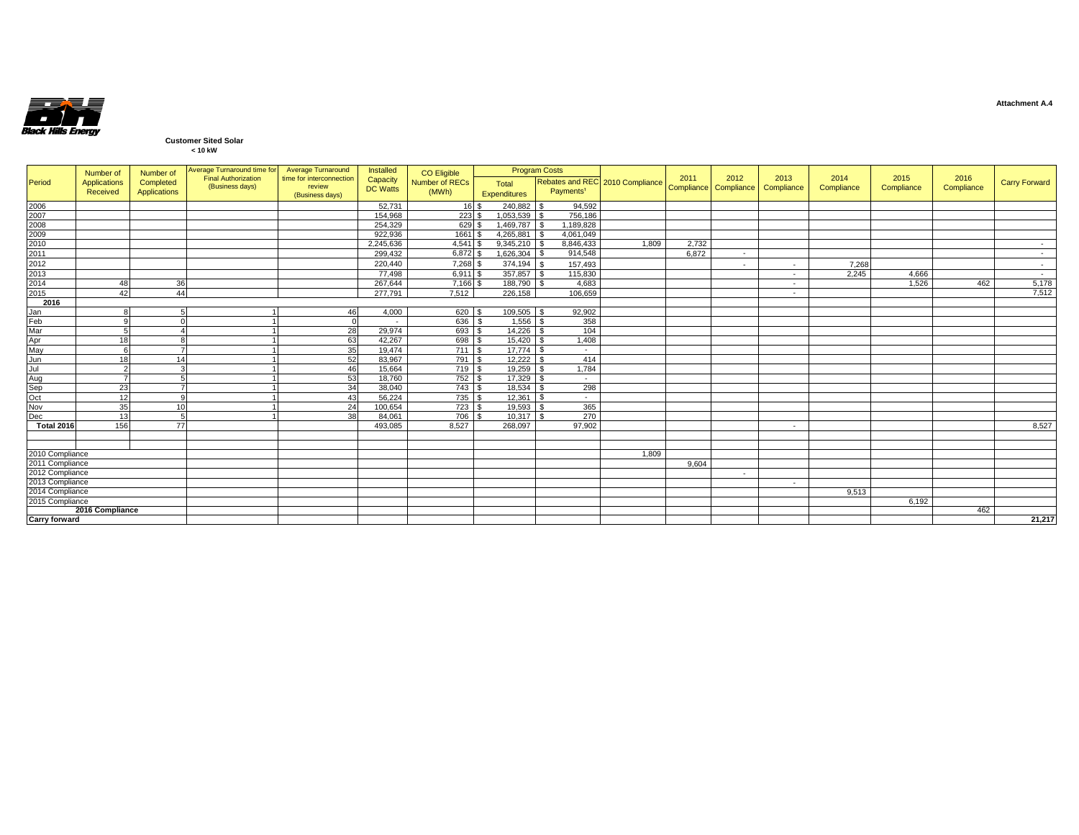

## **Customer Sited Solar**

|  | < 10 kW |  |
|--|---------|--|
|  |         |  |

|                                                              | Number of       | Number of    | Average Turnaround time for Average Turnaround |                                    | Installed         | CO Eligible    |                   | <b>Program Costs</b>  |                                 |       |                                          |                          |                    |                    |                    |                      |
|--------------------------------------------------------------|-----------------|--------------|------------------------------------------------|------------------------------------|-------------------|----------------|-------------------|-----------------------|---------------------------------|-------|------------------------------------------|--------------------------|--------------------|--------------------|--------------------|----------------------|
| Period                                                       | Applications    | Completed    | <b>Final Authorization</b><br>(Business days)  | time for interconnection<br>review | Capacity          | Number of RECs | Total             |                       | Rebates and REC 2010 Compliance | 2011  | 2012<br>Compliance Compliance Compliance | 2013                     | 2014<br>Compliance | 2015<br>Compliance | 2016<br>Compliance | <b>Carry Forward</b> |
|                                                              | Received        | Applications |                                                | (Business days)                    | <b>DC Watts</b>   | (MWh)          | Expenditures      | Payments <sup>1</sup> |                                 |       |                                          |                          |                    |                    |                    |                      |
|                                                              |                 |              |                                                |                                    | 52.731            | 16S            | 240,882           | 94.592                |                                 |       |                                          |                          |                    |                    |                    |                      |
|                                                              |                 |              |                                                |                                    | 154,968           | 223S           | 1,053,539         | 756,186               |                                 |       |                                          |                          |                    |                    |                    |                      |
|                                                              |                 |              |                                                |                                    | 254.329           | 629            | 1,469,787         | 1,189,828             |                                 |       |                                          |                          |                    |                    |                    |                      |
|                                                              |                 |              |                                                |                                    | 922,936           | 1661           | 4,265,881         | 4,061,049             |                                 |       |                                          |                          |                    |                    |                    |                      |
|                                                              |                 |              |                                                |                                    | 2,245,636         | 4,541          | 9,345,210         | 8,846,433             | 1,809                           | 2,732 |                                          |                          |                    |                    |                    |                      |
|                                                              |                 |              |                                                |                                    | 299.432           | 6,872          | 1.626.304         | 914,548               |                                 | 6.872 | $\sim$                                   |                          |                    |                    |                    | $\sim$               |
| 2006<br>2007<br>2008<br>2009<br>2010<br>2011<br>2012<br>2012 |                 |              |                                                |                                    | 220,440           | 7,268 \$       | 374,194           | 157,493               |                                 |       | $\sim$                                   | $\sim$                   | 7,268              |                    |                    | $\sim$               |
|                                                              |                 |              |                                                |                                    | 77,498            | 6,911 \$       | $357,857$ \$      | 115,830               |                                 |       |                                          | $\sim$                   | 2,245              | 4,666              |                    | $\sim$               |
| 2014<br>2015                                                 | 48              | 36           |                                                |                                    | 267.644           | $7,166$ \$     | 188,790 \$        | 4,683                 |                                 |       |                                          | $\overline{\phantom{a}}$ |                    | 1,526              | 462                | 5,178                |
|                                                              | 42              | 44           |                                                |                                    | 277.791           | 7,512          | 226,158           | 106,659               |                                 |       |                                          | $\sim$                   |                    |                    |                    | 7.512                |
| 2016                                                         |                 |              |                                                |                                    |                   |                |                   |                       |                                 |       |                                          |                          |                    |                    |                    |                      |
| Jan<br>Feb<br>Mar                                            |                 |              |                                                | 46                                 | 4,000             | 620 \$         | $109,505$ \$      | 92,902                |                                 |       |                                          |                          |                    |                    |                    |                      |
|                                                              |                 |              |                                                |                                    |                   | 636            | $1,556$ \$        | 358                   |                                 |       |                                          |                          |                    |                    |                    |                      |
|                                                              |                 |              |                                                | 28                                 | 29,974            | 693 \$         | 14,226            | 104                   |                                 |       |                                          |                          |                    |                    |                    |                      |
| Apr<br>May<br>Jun<br>Jul                                     | 18              |              |                                                | 63                                 | 42,267            | 698 \$         | 15,420            | 1,408                 |                                 |       |                                          |                          |                    |                    |                    |                      |
|                                                              |                 |              |                                                | 35                                 | 19,474            | 711S           | 17,774            | $\sim$                |                                 |       |                                          |                          |                    |                    |                    |                      |
|                                                              | 18              | 14           |                                                | 52                                 | 83,967            | 791 \$         | 12,222            | 414                   |                                 |       |                                          |                          |                    |                    |                    |                      |
|                                                              |                 |              |                                                | 46                                 | 15.664            | 719            | 19.259            | 1,784                 |                                 |       |                                          |                          |                    |                    |                    |                      |
|                                                              |                 |              |                                                | 53                                 | 18,760            | 752S           | 17,329            | $\sim$                |                                 |       |                                          |                          |                    |                    |                    |                      |
|                                                              | 23              |              |                                                | 34                                 | 38,040            | 743            | 18,534            | 298                   |                                 |       |                                          |                          |                    |                    |                    |                      |
| Aug<br>Sep<br>Oct<br>Nov                                     | 12              |              |                                                | 43                                 | 56.224            | 735            | 12,361            | - \$<br>$\sim$        |                                 |       |                                          |                          |                    |                    |                    |                      |
|                                                              | 35              | 10           |                                                | 24                                 | 100,654           | 723            | 19,593            | 365                   |                                 |       |                                          |                          |                    |                    |                    |                      |
| Dec<br><b>Total 2016</b>                                     | 13<br>156       | 77           |                                                | 38                                 | 84.061<br>493.085 | 706<br>8.527   | 10.317<br>268,097 | 270<br>- \$<br>97,902 |                                 |       |                                          |                          |                    |                    |                    | 8,527                |
|                                                              |                 |              |                                                |                                    |                   |                |                   |                       |                                 |       |                                          | $\sim$                   |                    |                    |                    |                      |
|                                                              |                 |              |                                                |                                    |                   |                |                   |                       |                                 |       |                                          |                          |                    |                    |                    |                      |
| 2010 Compliance                                              |                 |              |                                                |                                    |                   |                |                   |                       | 1.809                           |       |                                          |                          |                    |                    |                    |                      |
| 2011 Compliance                                              |                 |              |                                                |                                    |                   |                |                   |                       |                                 | 9,604 |                                          |                          |                    |                    |                    |                      |
| 2012 Compliance                                              |                 |              |                                                |                                    |                   |                |                   |                       |                                 |       | $\sim$                                   |                          |                    |                    |                    |                      |
| 2013 Compliance                                              |                 |              |                                                |                                    |                   |                |                   |                       |                                 |       |                                          | $\sim$                   |                    |                    |                    |                      |
| 2014 Compliance                                              |                 |              |                                                |                                    |                   |                |                   |                       |                                 |       |                                          |                          | 9,513              |                    |                    |                      |
| 2015 Compliance                                              |                 |              |                                                |                                    |                   |                |                   |                       |                                 |       |                                          |                          |                    | 6,192              |                    |                      |
|                                                              | 2016 Compliance |              |                                                |                                    |                   |                |                   |                       |                                 |       |                                          |                          |                    |                    | 462                |                      |
| <b>Carry forward</b>                                         |                 |              |                                                |                                    |                   |                |                   |                       |                                 |       |                                          |                          |                    |                    |                    | 21,217               |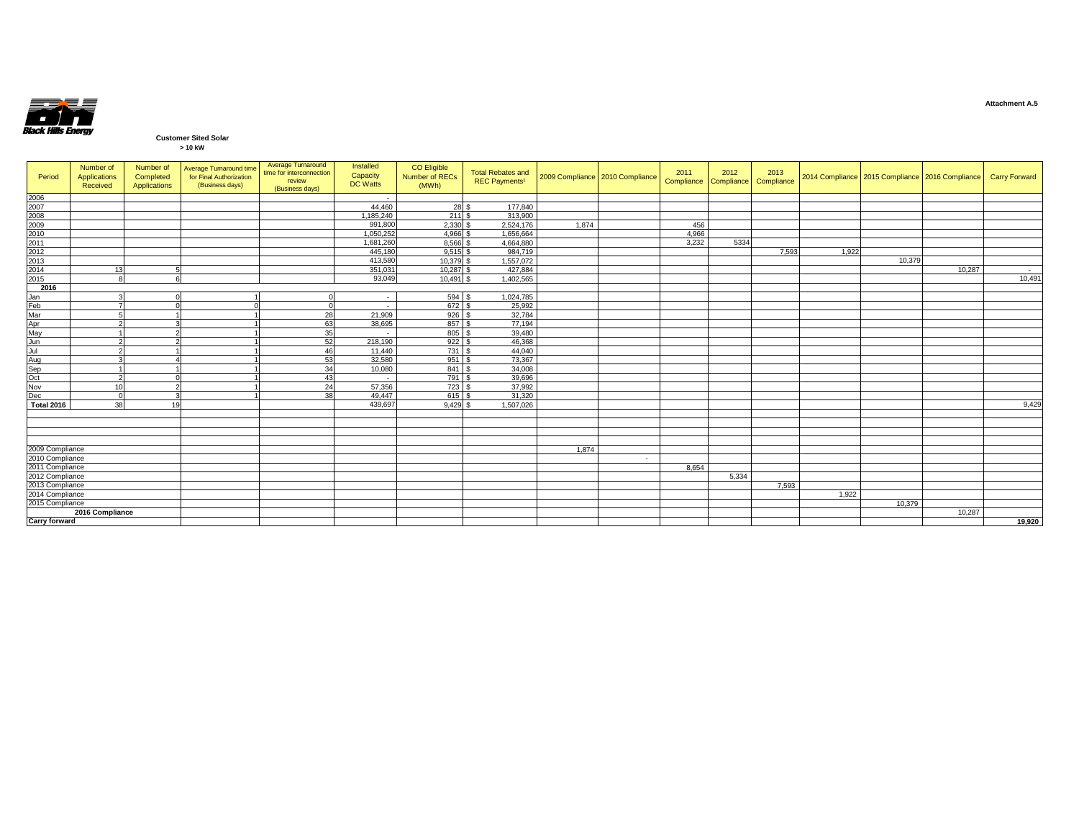

### **Customer Sited Solar > 10 kW**

|  | 210N |  |
|--|------|--|
|  |      |  |
|  |      |  |

| Period                                       | Number of<br><b>Applications</b><br>Received | Number of<br>Completed<br>Applications | Average Turnaround time<br>for Final Authorization<br>(Business days) | Average Turnaround<br>time for interconnection<br>review<br>(Business days) | Installed<br>Capacity<br><b>DC Watts</b> | CO Eligible<br>Number of RECs<br>(MWh) | <b>Total Rebates and</b><br><b>REC Payments<sup>1</sup></b> |       | 2009 Compliance 2010 Compliance | 2011<br>Compliance Compliance | 2012  | 2013<br>Compliance |       |        | 2014 Compliance 2015 Compliance 2016 Compliance | Carry Forward |
|----------------------------------------------|----------------------------------------------|----------------------------------------|-----------------------------------------------------------------------|-----------------------------------------------------------------------------|------------------------------------------|----------------------------------------|-------------------------------------------------------------|-------|---------------------------------|-------------------------------|-------|--------------------|-------|--------|-------------------------------------------------|---------------|
| 2006<br>2007<br>2008<br>2009                 |                                              |                                        |                                                                       |                                                                             | $\overline{\phantom{a}}$                 |                                        |                                                             |       |                                 |                               |       |                    |       |        |                                                 |               |
|                                              |                                              |                                        |                                                                       |                                                                             | 44.460                                   | 28 \$                                  | 177,840                                                     |       |                                 |                               |       |                    |       |        |                                                 |               |
|                                              |                                              |                                        |                                                                       |                                                                             | 1.185.240                                | 211                                    | 313,900                                                     |       |                                 |                               |       |                    |       |        |                                                 |               |
|                                              |                                              |                                        |                                                                       |                                                                             | 991,800                                  | 2,330                                  | 2.524.176                                                   | 1.874 |                                 | 456                           |       |                    |       |        |                                                 |               |
|                                              |                                              |                                        |                                                                       |                                                                             | 1,050,252                                | 4.966                                  | 1.656.664                                                   |       |                                 | 4.966                         |       |                    |       |        |                                                 |               |
| 2009<br>2010<br>2011<br>2012<br>2013<br>2014 |                                              |                                        |                                                                       |                                                                             | 1,681,260                                | 8.566                                  | 4,664,880                                                   |       |                                 | 3,232                         | 5334  |                    |       |        |                                                 |               |
|                                              |                                              |                                        |                                                                       |                                                                             | 445,180                                  | 9,515                                  | 984,719                                                     |       |                                 |                               |       | 7,593              | 1,922 |        |                                                 |               |
|                                              |                                              |                                        |                                                                       |                                                                             | 413,580                                  | 10.379                                 | 1.557.072                                                   |       |                                 |                               |       |                    |       | 10,379 |                                                 |               |
|                                              | 13                                           |                                        |                                                                       |                                                                             | 351,031                                  | 10,287                                 | 427,884                                                     |       |                                 |                               |       |                    |       |        | 10,287                                          |               |
|                                              |                                              |                                        |                                                                       |                                                                             | 93,049                                   | 10,491                                 | 1,402,565                                                   |       |                                 |                               |       |                    |       |        |                                                 | 10,491        |
| 2016                                         |                                              |                                        |                                                                       |                                                                             |                                          |                                        |                                                             |       |                                 |                               |       |                    |       |        |                                                 |               |
| Jan<br>Feb<br>Mar<br>Apr<br>May<br>Jun       |                                              |                                        |                                                                       |                                                                             | $\overline{\phantom{a}}$                 | 594 \$                                 | 1,024,785                                                   |       |                                 |                               |       |                    |       |        |                                                 |               |
|                                              |                                              |                                        |                                                                       |                                                                             | $\overline{\phantom{a}}$                 | 672 \$                                 | 25,992                                                      |       |                                 |                               |       |                    |       |        |                                                 |               |
|                                              |                                              |                                        |                                                                       | 28                                                                          | 21,909                                   | $926$ \$                               | 32,784                                                      |       |                                 |                               |       |                    |       |        |                                                 |               |
|                                              |                                              |                                        |                                                                       | 63                                                                          | 38,695                                   | 857 \$                                 | 77,194                                                      |       |                                 |                               |       |                    |       |        |                                                 |               |
|                                              |                                              |                                        |                                                                       | 35                                                                          | - 1                                      | 805                                    | 39,480                                                      |       |                                 |                               |       |                    |       |        |                                                 |               |
|                                              |                                              |                                        |                                                                       | 52                                                                          | 218,190                                  | 922                                    | 46,368                                                      |       |                                 |                               |       |                    |       |        |                                                 |               |
| Jul<br>Aug<br>Sep<br>Oct<br>Nov              |                                              |                                        |                                                                       | 46                                                                          | 11,440                                   | 731 \$                                 | 44,040                                                      |       |                                 |                               |       |                    |       |        |                                                 |               |
|                                              |                                              |                                        |                                                                       | 53                                                                          | 32,580                                   | 951S                                   | 73,367                                                      |       |                                 |                               |       |                    |       |        |                                                 |               |
|                                              |                                              |                                        |                                                                       | 34                                                                          | 10,080                                   | 841                                    | 34,008                                                      |       |                                 |                               |       |                    |       |        |                                                 |               |
|                                              |                                              |                                        |                                                                       | 43                                                                          | $\sim 10^{-1}$                           | 791                                    | 39,696                                                      |       |                                 |                               |       |                    |       |        |                                                 |               |
|                                              | 10                                           |                                        |                                                                       | 24                                                                          | 57,356                                   | 723                                    | 37,992                                                      |       |                                 |                               |       |                    |       |        |                                                 |               |
| Dec                                          |                                              |                                        |                                                                       | 38                                                                          | 49.447                                   | 615                                    | 31,320                                                      |       |                                 |                               |       |                    |       |        |                                                 |               |
| <b>Total 2016</b>                            | 38                                           | 10                                     |                                                                       |                                                                             | 439,697                                  | 9.429                                  | 1.507.026                                                   |       |                                 |                               |       |                    |       |        |                                                 | 9,429         |
|                                              |                                              |                                        |                                                                       |                                                                             |                                          |                                        |                                                             |       |                                 |                               |       |                    |       |        |                                                 |               |
|                                              |                                              |                                        |                                                                       |                                                                             |                                          |                                        |                                                             |       |                                 |                               |       |                    |       |        |                                                 |               |
|                                              |                                              |                                        |                                                                       |                                                                             |                                          |                                        |                                                             |       |                                 |                               |       |                    |       |        |                                                 |               |
|                                              |                                              |                                        |                                                                       |                                                                             |                                          |                                        |                                                             |       |                                 |                               |       |                    |       |        |                                                 |               |
| 2009 Compliance                              |                                              |                                        |                                                                       |                                                                             |                                          |                                        |                                                             | 1.874 |                                 |                               |       |                    |       |        |                                                 |               |
| 2010 Compliance                              |                                              |                                        |                                                                       |                                                                             |                                          |                                        |                                                             |       | $\sim$                          |                               |       |                    |       |        |                                                 |               |
| 2011 Compliance                              |                                              |                                        |                                                                       |                                                                             |                                          |                                        |                                                             |       |                                 | 8.654                         |       |                    |       |        |                                                 |               |
| 2012 Compliance                              |                                              |                                        |                                                                       |                                                                             |                                          |                                        |                                                             |       |                                 |                               | 5,334 |                    |       |        |                                                 |               |
| 2013 Compliance                              |                                              |                                        |                                                                       |                                                                             |                                          |                                        |                                                             |       |                                 |                               |       | 7,593              |       |        |                                                 |               |
| 2014 Compliance                              |                                              |                                        |                                                                       |                                                                             |                                          |                                        |                                                             |       |                                 |                               |       |                    | 1,922 |        |                                                 |               |
| 2015 Compliance                              |                                              |                                        |                                                                       |                                                                             |                                          |                                        |                                                             |       |                                 |                               |       |                    |       | 10.379 |                                                 |               |
|                                              | 2016 Compliance                              |                                        |                                                                       |                                                                             |                                          |                                        |                                                             |       |                                 |                               |       |                    |       |        | 10.287                                          |               |
| <b>Carry forward</b>                         |                                              |                                        |                                                                       |                                                                             |                                          |                                        |                                                             |       |                                 |                               |       |                    |       |        |                                                 | 19,920        |

**Attachment A.5**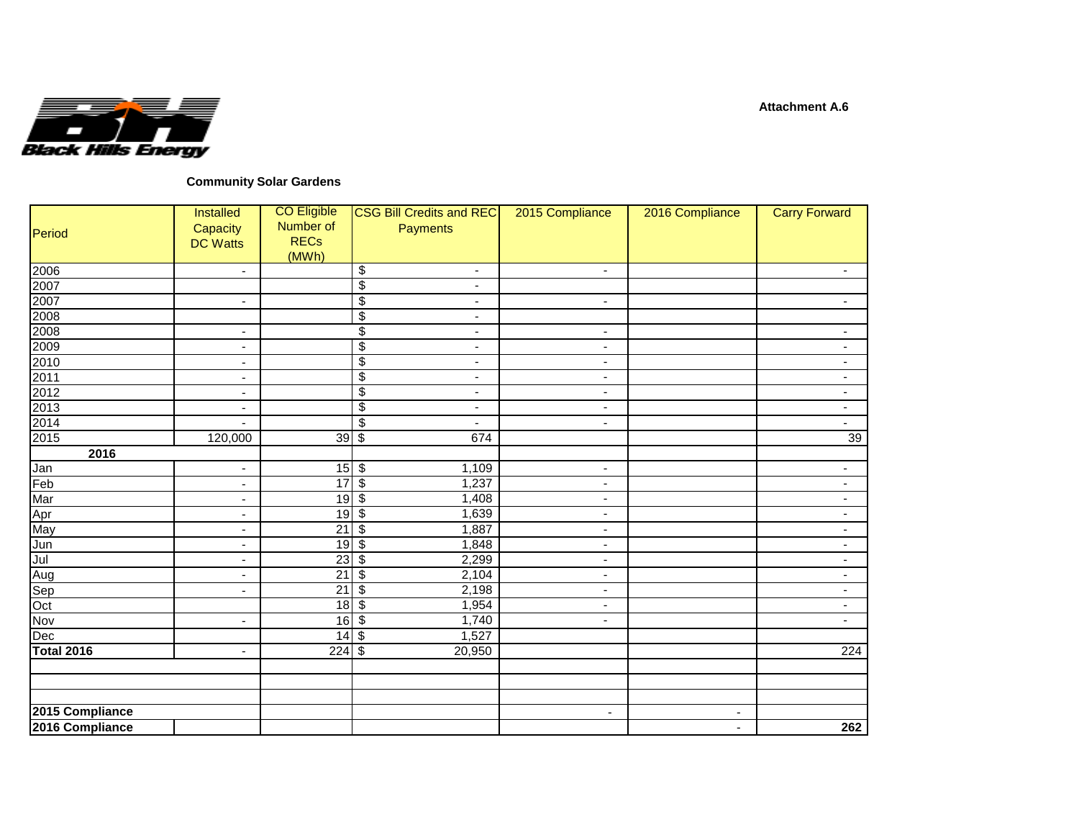

## **Community Solar Gardens**

| Period            | <b>Installed</b><br>Capacity<br><b>DC Watts</b> | <b>CO Eligible</b><br>Number of<br><b>RECs</b><br>(MWh) | <b>CSG Bill Credits and REC</b><br><b>Payments</b>  | 2015 Compliance          | 2016 Compliance          | <b>Carry Forward</b>     |
|-------------------|-------------------------------------------------|---------------------------------------------------------|-----------------------------------------------------|--------------------------|--------------------------|--------------------------|
| 2006              | $\blacksquare$                                  |                                                         | \$<br>$\overline{\phantom{a}}$                      | $\blacksquare$           |                          |                          |
| 2007              |                                                 |                                                         | $\overline{\$}$<br>$\blacksquare$                   |                          |                          |                          |
| 2007              | $\sim$                                          |                                                         | $\overline{\$}$<br>$\overline{\phantom{a}}$         | $\sim$                   |                          | $\overline{\phantom{a}}$ |
| 2008              |                                                 |                                                         | $\overline{\$}$<br>$\overline{\phantom{a}}$         |                          |                          |                          |
| 2008              | $\overline{\phantom{a}}$                        |                                                         | \$<br>$\overline{\phantom{a}}$                      | $\blacksquare$           |                          | $\overline{\phantom{a}}$ |
| 2009              | $\overline{\phantom{a}}$                        |                                                         | $\overline{\$}$<br>$\blacksquare$                   | $\blacksquare$           |                          | $\overline{\phantom{a}}$ |
| 2010              | $\overline{\phantom{a}}$                        |                                                         | $\overline{\$}$<br>$\overline{\phantom{a}}$         | $\blacksquare$           |                          | $\overline{\phantom{a}}$ |
| 2011              | $\blacksquare$                                  |                                                         | $\overline{\mathbf{e}}$<br>$\overline{\phantom{a}}$ | $\overline{\phantom{a}}$ |                          | $\overline{\phantom{a}}$ |
| 2012              | $\blacksquare$                                  |                                                         | $\overline{\mathcal{G}}$<br>$\blacksquare$          | $\blacksquare$           |                          | $\overline{\phantom{a}}$ |
| 2013              | $\overline{\phantom{a}}$                        |                                                         | $\overline{\$}$<br>$\blacksquare$                   | $\blacksquare$           |                          | $\overline{\phantom{a}}$ |
| 2014              | $\overline{\phantom{a}}$                        |                                                         | \$<br>$\blacksquare$                                | $\blacksquare$           |                          | $\sim$                   |
| 2015              | 120,000                                         | 39                                                      | $\overline{\mathcal{S}}$<br>674                     |                          |                          | 39                       |
| 2016              |                                                 |                                                         |                                                     |                          |                          |                          |
| Jan               | $\blacksquare$                                  | $15 \overline{\smash{)}\,}$                             | 1,109                                               | $\overline{\phantom{a}}$ |                          | $\overline{\phantom{a}}$ |
| Feb               | $\overline{\phantom{a}}$                        | 17                                                      | $\overline{\mathcal{S}}$<br>1,237                   | $\blacksquare$           |                          | $\overline{\phantom{a}}$ |
| Mar               | $\overline{\phantom{a}}$                        | 19                                                      | $\overline{\mathcal{S}}$<br>1,408                   | $\blacksquare$           |                          | $\overline{\phantom{a}}$ |
| Apr               | $\overline{\phantom{0}}$                        | $\overline{19}$                                         | $\overline{\mathcal{L}}$<br>1,639                   | $\blacksquare$           |                          | $\blacksquare$           |
| May               | $\overline{\phantom{0}}$                        | 21                                                      | $\sqrt[6]{\frac{2}{5}}$<br>1,887                    | $\blacksquare$           |                          | $\overline{\phantom{a}}$ |
| Jun               | $\overline{\phantom{a}}$                        | $\overline{19}$                                         | $\overline{\mathbf{3}}$<br>1,848                    | $\blacksquare$           |                          | $\overline{\phantom{a}}$ |
| Jul               | $\overline{\phantom{a}}$                        | 23                                                      | \$<br>2,299                                         | $\blacksquare$           |                          | $\blacksquare$           |
| Aug               | $\blacksquare$                                  | $\overline{21}$                                         | $\overline{\$}$<br>2,104                            | $\overline{\phantom{a}}$ |                          | $\overline{\phantom{a}}$ |
| Sep               | $\overline{\phantom{0}}$                        | 21                                                      | $\overline{\$}$<br>2,198                            | ٠                        |                          | $\overline{\phantom{a}}$ |
| $\overline{Oct}$  |                                                 | 18                                                      | $\sqrt{3}$<br>1,954                                 | $\blacksquare$           |                          | $\sim$                   |
| Nov               | $\blacksquare$                                  | 16                                                      | $\overline{\mathcal{S}}$<br>1,740                   | $\blacksquare$           |                          | $\blacksquare$           |
| Dec               |                                                 | 14                                                      | $\overline{\mathcal{S}}$<br>1,527                   |                          |                          |                          |
| <b>Total 2016</b> | $\blacksquare$                                  | 224                                                     | $\sqrt{3}$<br>20,950                                |                          |                          | 224                      |
|                   |                                                 |                                                         |                                                     |                          |                          |                          |
|                   |                                                 |                                                         |                                                     |                          |                          |                          |
| 2015 Compliance   |                                                 |                                                         |                                                     | $\overline{\phantom{a}}$ | $\overline{\phantom{a}}$ |                          |
| 2016 Compliance   |                                                 |                                                         |                                                     |                          | $\blacksquare$           | 262                      |
|                   |                                                 |                                                         |                                                     |                          |                          |                          |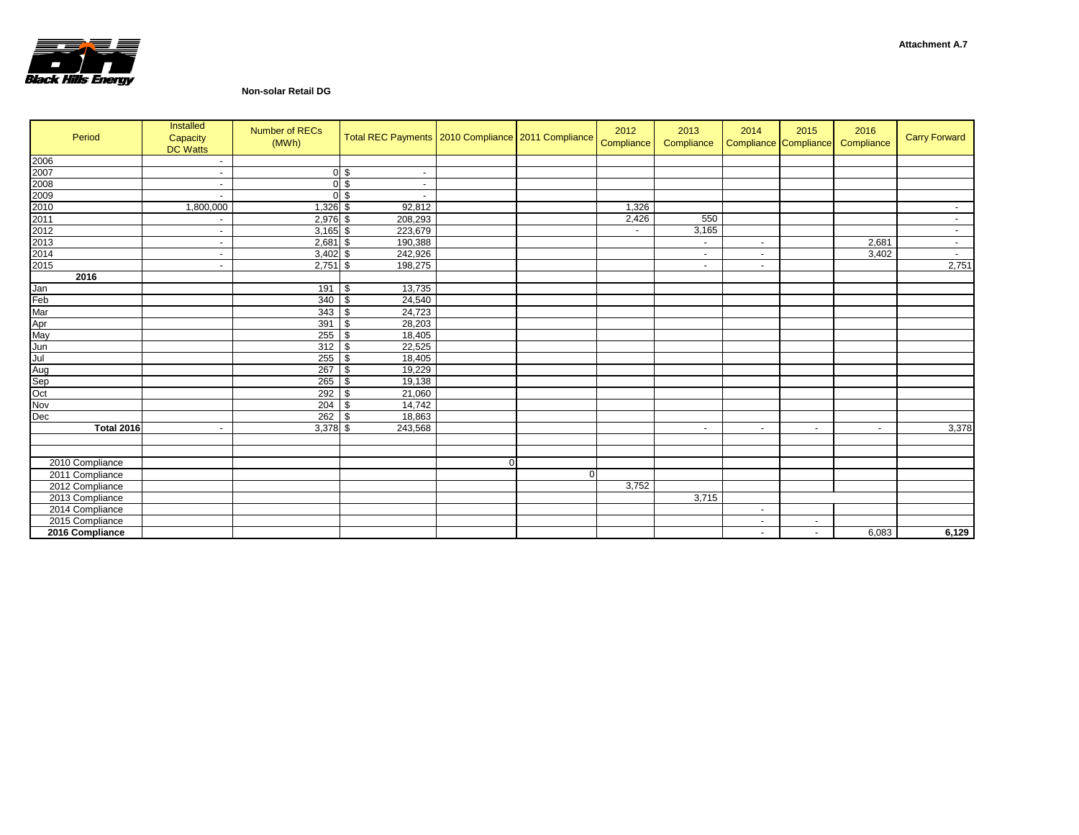

## **Non-solar Retail DG**

| Period            | Installed<br>Capacity<br><b>DC Watts</b> | <b>Number of RECs</b><br>(MWh) | Total REC Payments   2010 Compliance   2011 Compliance |             |                | 2012<br>Compliance | 2013<br>Compliance       | 2014   | 2015<br>Compliance Compliance | 2016<br>Compliance | <b>Carry Forward</b> |
|-------------------|------------------------------------------|--------------------------------|--------------------------------------------------------|-------------|----------------|--------------------|--------------------------|--------|-------------------------------|--------------------|----------------------|
| 2006<br>2007      | $\overline{\phantom{a}}$                 |                                |                                                        |             |                |                    |                          |        |                               |                    |                      |
|                   | ٠                                        |                                | 0 <sup>5</sup><br>$\blacksquare$                       |             |                |                    |                          |        |                               |                    |                      |
| 2008<br>2009      | $\sim$                                   |                                | 0 <sup>5</sup><br>$\sim$                               |             |                |                    |                          |        |                               |                    |                      |
|                   | ٠                                        |                                | 0S<br>$\blacksquare$                                   |             |                |                    |                          |        |                               |                    |                      |
| 2010              | 1,800,000                                | 1,326 \$                       | 92,812                                                 |             |                | 1,326              |                          |        |                               |                    | $\sim$               |
| 2011              | ٠                                        | 2,976 \$                       | 208,293                                                |             |                | 2,426              | 550                      |        |                               |                    | $\sim$               |
| 2012              | ٠                                        | $3,165$ \$                     | 223,679                                                |             |                | $\sim$             | 3,165                    |        |                               |                    | $\sim$               |
| 2013              | $\sim$                                   | 2,681                          | \$<br>190,388                                          |             |                |                    | $\sim$                   | $\sim$ |                               | 2,681              | $\sim$               |
| 2014              | $\sim$                                   | $3,402$ \$                     | 242,926                                                |             |                |                    | $\overline{\phantom{a}}$ | $\sim$ |                               | 3,402              | $\sim$               |
| 2015              | ٠                                        | $2,751$ \$                     | 198,275                                                |             |                |                    | $\blacksquare$           | $\sim$ |                               |                    | 2,751                |
| 2016              |                                          |                                |                                                        |             |                |                    |                          |        |                               |                    |                      |
| Jan<br>Feb<br>Mar |                                          | 191                            | 13,735<br>\$                                           |             |                |                    |                          |        |                               |                    |                      |
|                   |                                          | 340                            | \$<br>24,540                                           |             |                |                    |                          |        |                               |                    |                      |
|                   |                                          | 343                            | 24,723<br>\$                                           |             |                |                    |                          |        |                               |                    |                      |
| Apr<br>May        |                                          | 391                            | \$<br>28,203                                           |             |                |                    |                          |        |                               |                    |                      |
|                   |                                          | 255                            | \$<br>18,405                                           |             |                |                    |                          |        |                               |                    |                      |
| Jun<br>Jul        |                                          | 312                            | \$<br>22,525                                           |             |                |                    |                          |        |                               |                    |                      |
|                   |                                          | 255                            | \$<br>18,405                                           |             |                |                    |                          |        |                               |                    |                      |
|                   |                                          | 267                            | \$<br>19,229                                           |             |                |                    |                          |        |                               |                    |                      |
| Aug<br>Sep<br>Oct |                                          | 265                            | \$<br>19,138                                           |             |                |                    |                          |        |                               |                    |                      |
|                   |                                          | 292                            | \$<br>21,060                                           |             |                |                    |                          |        |                               |                    |                      |
| Nov               |                                          | 204                            | \$<br>14,742                                           |             |                |                    |                          |        |                               |                    |                      |
| Dec               |                                          | 262                            | \$<br>18,863                                           |             |                |                    |                          |        |                               |                    |                      |
| <b>Total 2016</b> |                                          | 3,378 \$                       | 243,568                                                |             |                |                    | $\sim$                   | $\sim$ | $\sim$                        | $\sim$             | 3,378                |
|                   |                                          |                                |                                                        |             |                |                    |                          |        |                               |                    |                      |
|                   |                                          |                                |                                                        |             |                |                    |                          |        |                               |                    |                      |
| 2010 Compliance   |                                          |                                |                                                        | $\mathbf 0$ |                |                    |                          |        |                               |                    |                      |
| 2011 Compliance   |                                          |                                |                                                        |             | $\overline{0}$ |                    |                          |        |                               |                    |                      |
| 2012 Compliance   |                                          |                                |                                                        |             |                | 3,752              |                          |        |                               |                    |                      |
| 2013 Compliance   |                                          |                                |                                                        |             |                |                    | 3,715                    |        |                               |                    |                      |
| 2014 Compliance   |                                          |                                |                                                        |             |                |                    |                          | $\sim$ |                               |                    |                      |
| 2015 Compliance   |                                          |                                |                                                        |             |                |                    |                          | $\sim$ | ۰.                            |                    |                      |
| 2016 Compliance   |                                          |                                |                                                        |             |                |                    |                          | $\sim$ | $\sim$                        | 6,083              | 6,129                |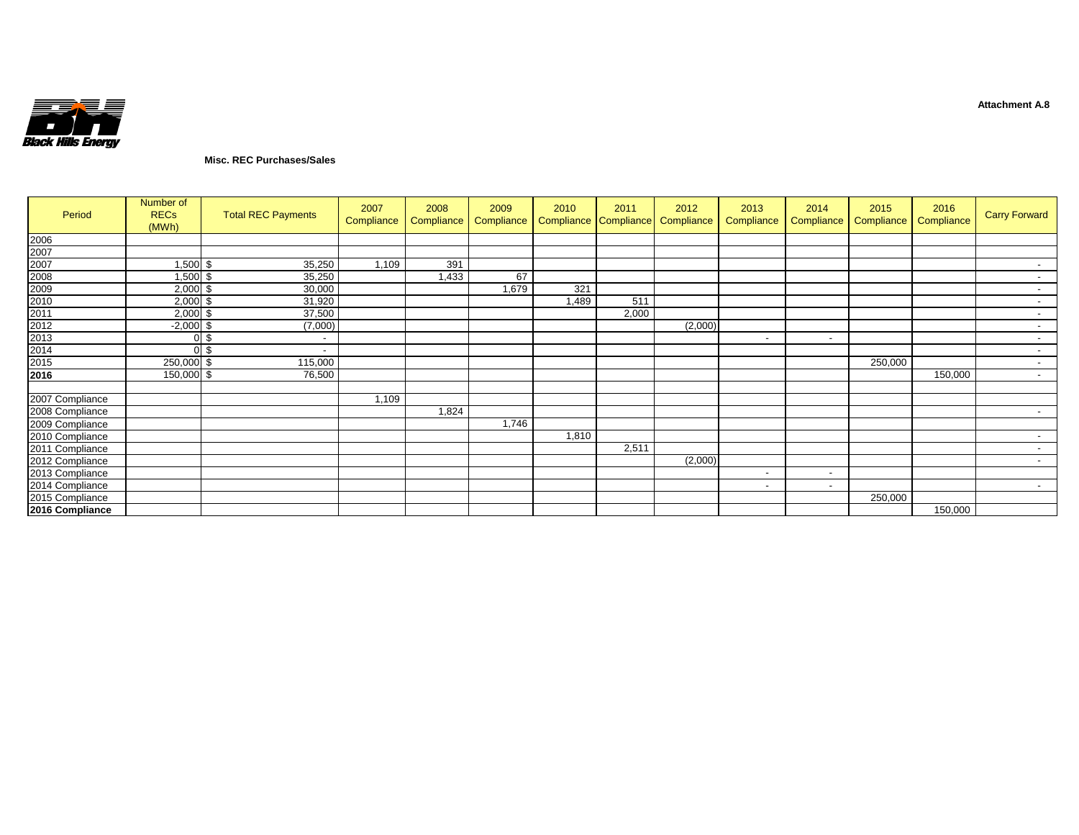

## **Misc. REC Purchases/Sales**

| Period                                                                               | Number of<br><b>RECs</b><br>(MWh) | <b>Total REC Payments</b> | 2007<br>Compliance | 2008<br>Compliance | 2009<br>Compliance | 2010  | 2011  | 2012<br>Compliance Compliance Compliance | 2013<br>Compliance       | 2014<br>Compliance       | 2015<br>Compliance | 2016<br>Compliance | <b>Carry Forward</b>     |
|--------------------------------------------------------------------------------------|-----------------------------------|---------------------------|--------------------|--------------------|--------------------|-------|-------|------------------------------------------|--------------------------|--------------------------|--------------------|--------------------|--------------------------|
| 2006                                                                                 |                                   |                           |                    |                    |                    |       |       |                                          |                          |                          |                    |                    |                          |
|                                                                                      |                                   |                           |                    |                    |                    |       |       |                                          |                          |                          |                    |                    |                          |
|                                                                                      | $1,500$ \$                        | 35,250                    | 1,109              | 391                |                    |       |       |                                          |                          |                          |                    |                    | $\sim$                   |
|                                                                                      | $1,500$ \$                        | 35,250                    |                    | 1,433              | 67                 |       |       |                                          |                          |                          |                    |                    |                          |
|                                                                                      | $2,000$ \$                        | 30,000                    |                    |                    | 1,679              | 321   |       |                                          |                          |                          |                    |                    | $\sim$                   |
| 2007<br>2008<br>2008<br>2009<br>2010<br>2011<br>2012<br>2013<br>2014<br>2015<br>2016 | $2,000$ \$                        | 31,920                    |                    |                    |                    | 1,489 | 511   |                                          |                          |                          |                    |                    | $\sim$                   |
|                                                                                      | $2,000$ \$                        | 37,500                    |                    |                    |                    |       | 2,000 |                                          |                          |                          |                    |                    | $\overline{\phantom{a}}$ |
|                                                                                      | $-2,000$ \$                       | (7,000)                   |                    |                    |                    |       |       | (2,000)                                  |                          |                          |                    |                    | $\sim$                   |
|                                                                                      | 0 <sup>5</sup>                    | $\overline{\phantom{a}}$  |                    |                    |                    |       |       |                                          | $\overline{\phantom{a}}$ | $\overline{\phantom{a}}$ |                    |                    | $\sim$                   |
|                                                                                      | 0 <sup>5</sup>                    | $\overline{\phantom{a}}$  |                    |                    |                    |       |       |                                          |                          |                          |                    |                    | $\sim$                   |
|                                                                                      | 250,000 \$                        | 115,000                   |                    |                    |                    |       |       |                                          |                          |                          | 250,000            |                    | $\sim$                   |
|                                                                                      | 150,000 \$                        | 76,500                    |                    |                    |                    |       |       |                                          |                          |                          |                    | 150,000            | $\sim$                   |
|                                                                                      |                                   |                           |                    |                    |                    |       |       |                                          |                          |                          |                    |                    |                          |
| 2007 Compliance                                                                      |                                   |                           | 1,109              |                    |                    |       |       |                                          |                          |                          |                    |                    |                          |
| 2008 Compliance                                                                      |                                   |                           |                    | 1,824              |                    |       |       |                                          |                          |                          |                    |                    | $\sim$                   |
| 2009 Compliance                                                                      |                                   |                           |                    |                    | 1,746              |       |       |                                          |                          |                          |                    |                    |                          |
| 2010 Compliance                                                                      |                                   |                           |                    |                    |                    | 1,810 |       |                                          |                          |                          |                    |                    | $\sim$                   |
| 2011 Compliance                                                                      |                                   |                           |                    |                    |                    |       | 2,511 |                                          |                          |                          |                    |                    |                          |
| 2012 Compliance                                                                      |                                   |                           |                    |                    |                    |       |       | (2,000)                                  |                          |                          |                    |                    | $\sim$                   |
| 2013 Compliance                                                                      |                                   |                           |                    |                    |                    |       |       |                                          | $\overline{\phantom{a}}$ | $\overline{\phantom{a}}$ |                    |                    |                          |
| 2014 Compliance                                                                      |                                   |                           |                    |                    |                    |       |       |                                          | $\overline{\phantom{a}}$ | $\sim$                   |                    |                    | $\sim$                   |
| 2015 Compliance                                                                      |                                   |                           |                    |                    |                    |       |       |                                          |                          |                          | 250,000            |                    |                          |
| 2016 Compliance                                                                      |                                   |                           |                    |                    |                    |       |       |                                          |                          |                          |                    | 150,000            |                          |

**Attachment A.8**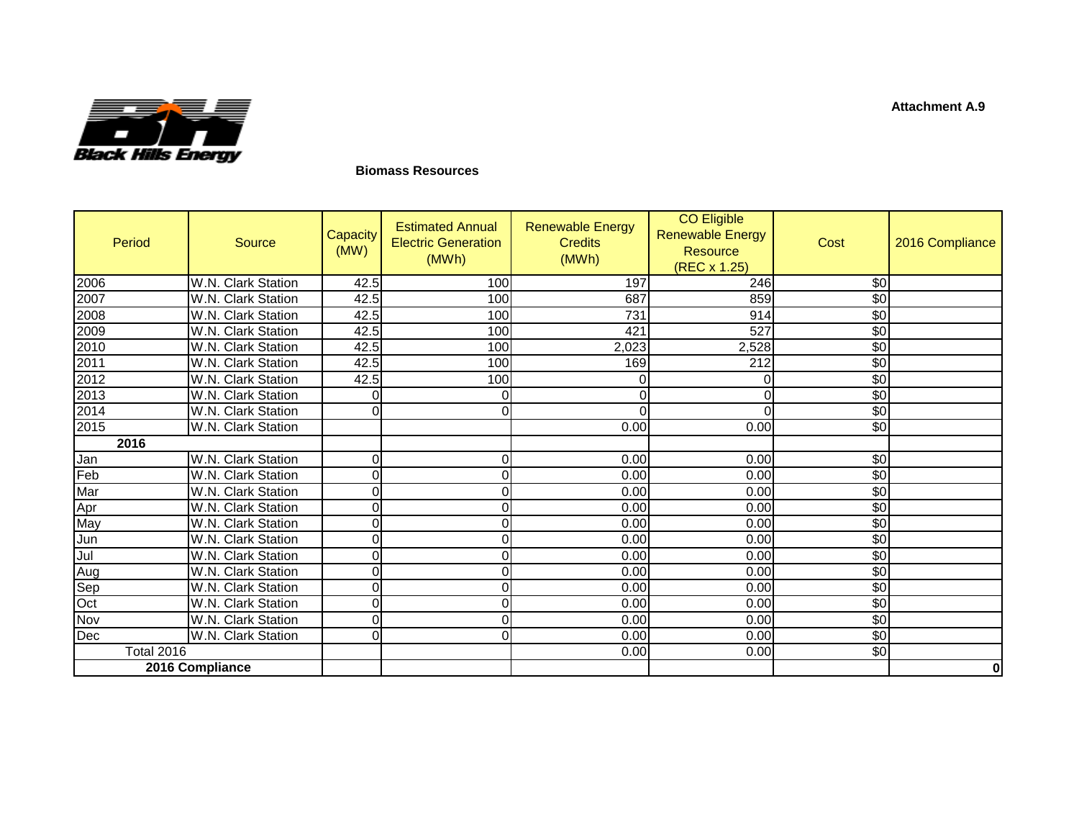

## **Biomass Resources**

| Period            | Source             | Capacity<br>(MW) | <b>Estimated Annual</b><br><b>Electric Generation</b><br>(MWh) | <b>Renewable Energy</b><br><b>Credits</b><br>(MWh) | <b>CO Eligible</b><br><b>Renewable Energy</b><br><b>Resource</b><br>(REC x 1.25) | Cost       | 2016 Compliance |
|-------------------|--------------------|------------------|----------------------------------------------------------------|----------------------------------------------------|----------------------------------------------------------------------------------|------------|-----------------|
| 2006<br>2007      | W.N. Clark Station | 42.5             | 100                                                            | 197                                                | 246                                                                              | \$0        |                 |
|                   | W.N. Clark Station | 42.5             | 100                                                            | 687                                                | 859                                                                              | $\sqrt{6}$ |                 |
| 2008              | W.N. Clark Station | 42.5             | 100                                                            | 731                                                | 914                                                                              | \$0        |                 |
| 2009              | W.N. Clark Station | 42.5             | 100                                                            | 421                                                | 527                                                                              | \$0        |                 |
| 2010              | W.N. Clark Station | 42.5             | 100                                                            | 2,023                                              | 2,528                                                                            | $\sqrt{6}$ |                 |
| 2011<br>2012      | W.N. Clark Station | 42.5             | 100                                                            | 169                                                | 212                                                                              | $\sqrt{6}$ |                 |
|                   | W.N. Clark Station | 42.5             | 100                                                            | $\Omega$                                           |                                                                                  | $\sqrt{6}$ |                 |
| 2013<br>2014      | W.N. Clark Station | $\overline{0}$   | 0                                                              | $\Omega$                                           |                                                                                  | \$0        |                 |
|                   | W.N. Clark Station | $\Omega$         | $\Omega$                                                       | $\Omega$                                           |                                                                                  | $\sqrt{6}$ |                 |
| 2015              | W.N. Clark Station |                  |                                                                | 0.00                                               | 0.00                                                                             | \$0        |                 |
| 2016              |                    |                  |                                                                |                                                    |                                                                                  |            |                 |
| Jan               | W.N. Clark Station | $\overline{0}$   | $\mathbf 0$                                                    | 0.00                                               | 0.00                                                                             | $\sqrt{6}$ |                 |
| Feb               | W.N. Clark Station | $\overline{0}$   | $\Omega$                                                       | 0.00                                               | 0.00                                                                             | \$0        |                 |
| Mar<br>Apr<br>May | W.N. Clark Station | $\overline{0}$   | 0                                                              | 0.00                                               | 0.00                                                                             | \$0        |                 |
|                   | W.N. Clark Station | $\overline{0}$   | 0                                                              | 0.00                                               | 0.00                                                                             | $\sqrt{6}$ |                 |
|                   | W.N. Clark Station | $\overline{0}$   | $\mathbf 0$                                                    | 0.00                                               | 0.00                                                                             | $\sqrt{6}$ |                 |
| Jun               | W.N. Clark Station | $\overline{0}$   | $\mathbf 0$                                                    | 0.00                                               | 0.00                                                                             | \$0        |                 |
|                   | W.N. Clark Station | $\overline{0}$   | $\mathbf 0$                                                    | 0.00                                               | 0.00                                                                             | \$0        |                 |
| Jul<br>Aug        | W.N. Clark Station | $\overline{0}$   | $\mathbf 0$                                                    | 0.00                                               | 0.00                                                                             | \$0        |                 |
| Sep<br>Oct        | W.N. Clark Station | $\overline{0}$   | $\Omega$                                                       | 0.00                                               | 0.00                                                                             | $\sqrt{6}$ |                 |
|                   | W.N. Clark Station | $\overline{0}$   | $\Omega$                                                       | 0.00                                               | 0.00                                                                             | \$0        |                 |
| Nov               | W.N. Clark Station | $\overline{0}$   | $\Omega$                                                       | 0.00                                               | 0.00                                                                             | $\sqrt{6}$ |                 |
| Dec               | W.N. Clark Station | $\overline{0}$   | $\Omega$                                                       | 0.00                                               | 0.00                                                                             | $\sqrt{6}$ |                 |
| <b>Total 2016</b> |                    |                  |                                                                | 0.00                                               | 0.00                                                                             | \$0        |                 |
| 2016 Compliance   |                    |                  |                                                                |                                                    |                                                                                  |            | 0               |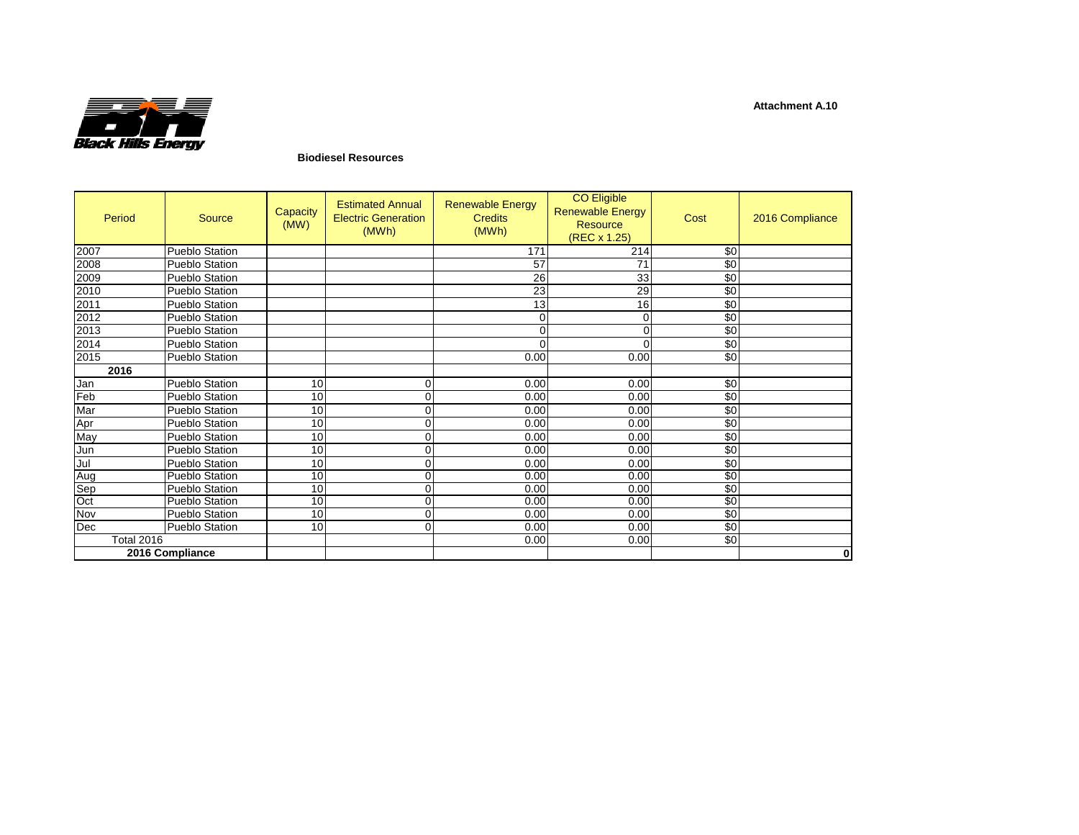

## **Biodiesel Resources**

| Period            | Source                | Capacity<br>(MW) | <b>Estimated Annual</b><br><b>Electric Generation</b><br>(MWh) | <b>Renewable Energy</b><br><b>Credits</b><br>(MWh) | <b>CO Eligible</b><br><b>Renewable Energy</b><br><b>Resource</b><br>(REC x 1.25) | Cost | 2016 Compliance |
|-------------------|-----------------------|------------------|----------------------------------------------------------------|----------------------------------------------------|----------------------------------------------------------------------------------|------|-----------------|
| 2007              | Pueblo Station        |                  |                                                                | 171                                                | 214                                                                              | \$0  |                 |
| 2008              | Pueblo Station        |                  |                                                                | 57                                                 | 71                                                                               | \$0  |                 |
| 2009              | <b>Pueblo Station</b> |                  |                                                                | 26                                                 | 33                                                                               | \$0  |                 |
| 2010              | Pueblo Station        |                  |                                                                | 23                                                 | 29                                                                               | \$0  |                 |
| 2011              | Pueblo Station        |                  |                                                                | 13                                                 | 16                                                                               | \$0  |                 |
| 2012              | Pueblo Station        |                  |                                                                | 0                                                  | 0                                                                                | \$0  |                 |
| 2013              | Pueblo Station        |                  |                                                                | ი                                                  | 0                                                                                | \$0  |                 |
| 2014              | Pueblo Station        |                  |                                                                |                                                    |                                                                                  | \$0  |                 |
| 2015              | Pueblo Station        |                  |                                                                | 0.00                                               | 0.00                                                                             | \$0  |                 |
| 2016              |                       |                  |                                                                |                                                    |                                                                                  |      |                 |
| Jan               | Pueblo Station        | 10               | 0                                                              | 0.00                                               | 0.00                                                                             | \$0  |                 |
| Feb               | Pueblo Station        | 10               | 0                                                              | 0.00                                               | 0.00                                                                             | \$0  |                 |
| Mar               | Pueblo Station        | 10               | 0                                                              | 0.00                                               | 0.00                                                                             | \$0  |                 |
| Apr               | Pueblo Station        | 10               | 0                                                              | 0.00                                               | 0.00                                                                             | \$0  |                 |
| May               | Pueblo Station        | 10               | 0                                                              | 0.00                                               | 0.00                                                                             | \$0  |                 |
| Jun               | Pueblo Station        | 10               | 0                                                              | 0.00                                               | 0.00                                                                             | \$0  |                 |
| Jul               | Pueblo Station        | 10               | 0                                                              | 0.00                                               | 0.00                                                                             | \$0  |                 |
| Aug               | Pueblo Station        | 10               | 0                                                              | 0.00                                               | 0.00                                                                             | \$0  |                 |
| Sep               | Pueblo Station        | 10               | 0                                                              | 0.00                                               | 0.00                                                                             | \$0  |                 |
| Oct               | Pueblo Station        | 10               | 0                                                              | 0.00                                               | 0.00                                                                             | \$0  |                 |
| Nov               | Pueblo Station        | 10               | 0                                                              | 0.00                                               | 0.00                                                                             | \$0  |                 |
| Dec               | Pueblo Station        | 10               | 0                                                              | 0.00                                               | 0.00                                                                             | \$0  |                 |
| <b>Total 2016</b> |                       |                  |                                                                | 0.00                                               | 0.00                                                                             | \$0  |                 |
|                   | 2016 Compliance       |                  |                                                                |                                                    |                                                                                  |      | $\bf{0}$        |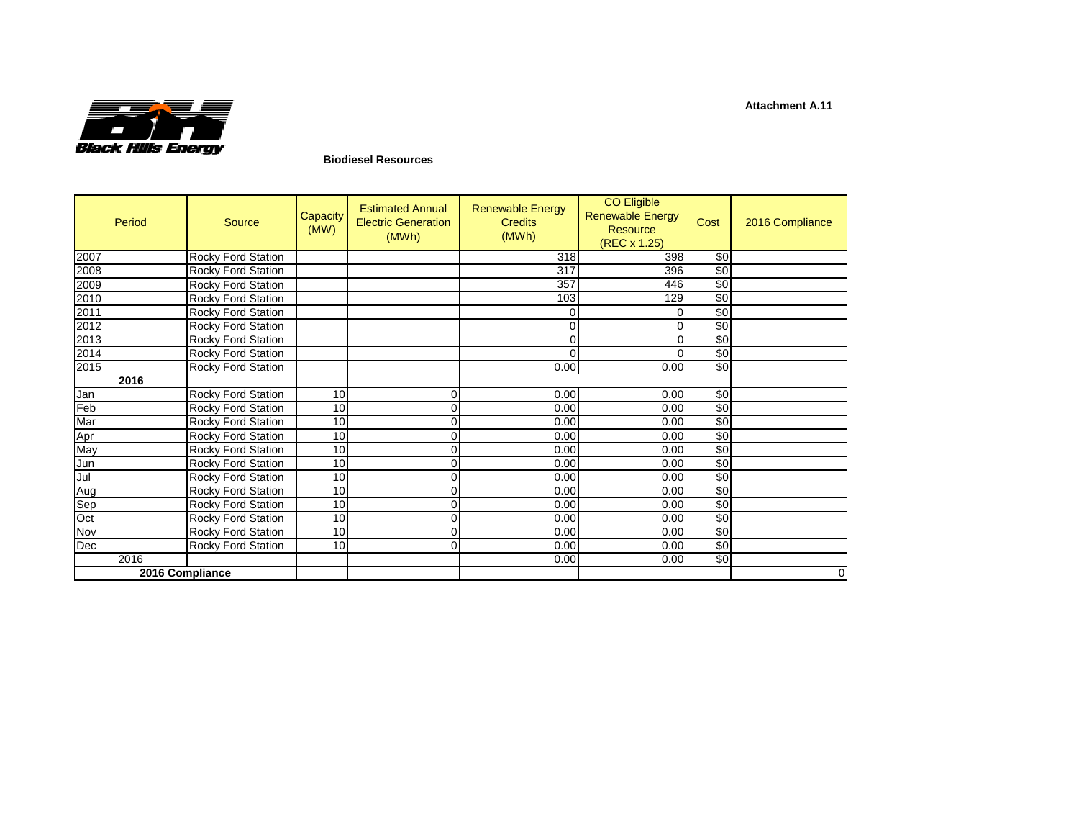

## **Biodiesel Resources**

| Period     | <b>Source</b>             | Capacity<br>(MW) | <b>Estimated Annual</b><br><b>Electric Generation</b><br>(MWh) | <b>Renewable Energy</b><br><b>Credits</b><br>(MWh) | <b>CO Eligible</b><br><b>Renewable Energy</b><br><b>Resource</b><br>(REC x 1.25) | Cost       | 2016 Compliance |
|------------|---------------------------|------------------|----------------------------------------------------------------|----------------------------------------------------|----------------------------------------------------------------------------------|------------|-----------------|
| 2007       | Rocky Ford Station        |                  |                                                                | 318                                                | 398                                                                              | \$0        |                 |
| 2008       | Rocky Ford Station        |                  |                                                                | 317                                                | 396                                                                              | \$0        |                 |
| 2009       | Rocky Ford Station        |                  |                                                                | 357                                                | 446                                                                              | \$0        |                 |
| 2010       | Rocky Ford Station        |                  |                                                                | 103                                                | 129                                                                              | \$0        |                 |
| 2011       | Rocky Ford Station        |                  |                                                                | 0                                                  | 0                                                                                | \$0        |                 |
| 2012       | Rocky Ford Station        |                  |                                                                | 0                                                  | $\Omega$                                                                         | \$0        |                 |
| 2013       | Rocky Ford Station        |                  |                                                                | 0                                                  | 0                                                                                | \$0        |                 |
| 2014       | Rocky Ford Station        |                  |                                                                | $\Omega$                                           | $\Omega$                                                                         | \$0        |                 |
| 2015       | Rocky Ford Station        |                  |                                                                | 0.00                                               | 0.00                                                                             | \$0        |                 |
| 2016       |                           |                  |                                                                |                                                    |                                                                                  |            |                 |
| Jan        | Rocky Ford Station        | 10               |                                                                | 0.00                                               | 0.00                                                                             | \$0        |                 |
| Feb        | Rocky Ford Station        | 10               |                                                                | 0.00                                               | 0.00                                                                             | \$0        |                 |
| Mar        | Rocky Ford Station        | 10               |                                                                | 0.00                                               | 0.00                                                                             | \$0        |                 |
| Apr<br>May | Rocky Ford Station        | 10               |                                                                | 0.00                                               | 0.00                                                                             | \$0        |                 |
|            | Rocky Ford Station        | 10               | $\Omega$                                                       | 0.00                                               | 0.00                                                                             | \$0        |                 |
| Jun        | Rocky Ford Station        | 10               |                                                                | 0.00                                               | 0.00                                                                             | \$0        |                 |
| Jul<br>Aug | Rocky Ford Station        | 10               |                                                                | 0.00                                               | 0.00                                                                             | \$0        |                 |
|            | Rocky Ford Station        | 10               | $\Omega$                                                       | 0.00                                               | 0.00                                                                             | \$0        |                 |
| Sep        | <b>Rocky Ford Station</b> | 10               | $\Omega$                                                       | 0.00                                               | 0.00                                                                             | \$0        |                 |
| Oct        | Rocky Ford Station        | 10               |                                                                | 0.00                                               | 0.00                                                                             | \$0        |                 |
| Nov        | Rocky Ford Station        | 10               | $\Omega$                                                       | 0.00                                               | 0.00                                                                             | $\sqrt{6}$ |                 |
| Dec        | Rocky Ford Station        | 10               |                                                                | 0.00                                               | 0.00                                                                             | \$0        |                 |
| 2016       |                           |                  |                                                                | 0.00                                               | 0.00                                                                             | \$0        |                 |
|            | 2016 Compliance           |                  |                                                                |                                                    |                                                                                  |            | $\mathbf 0$     |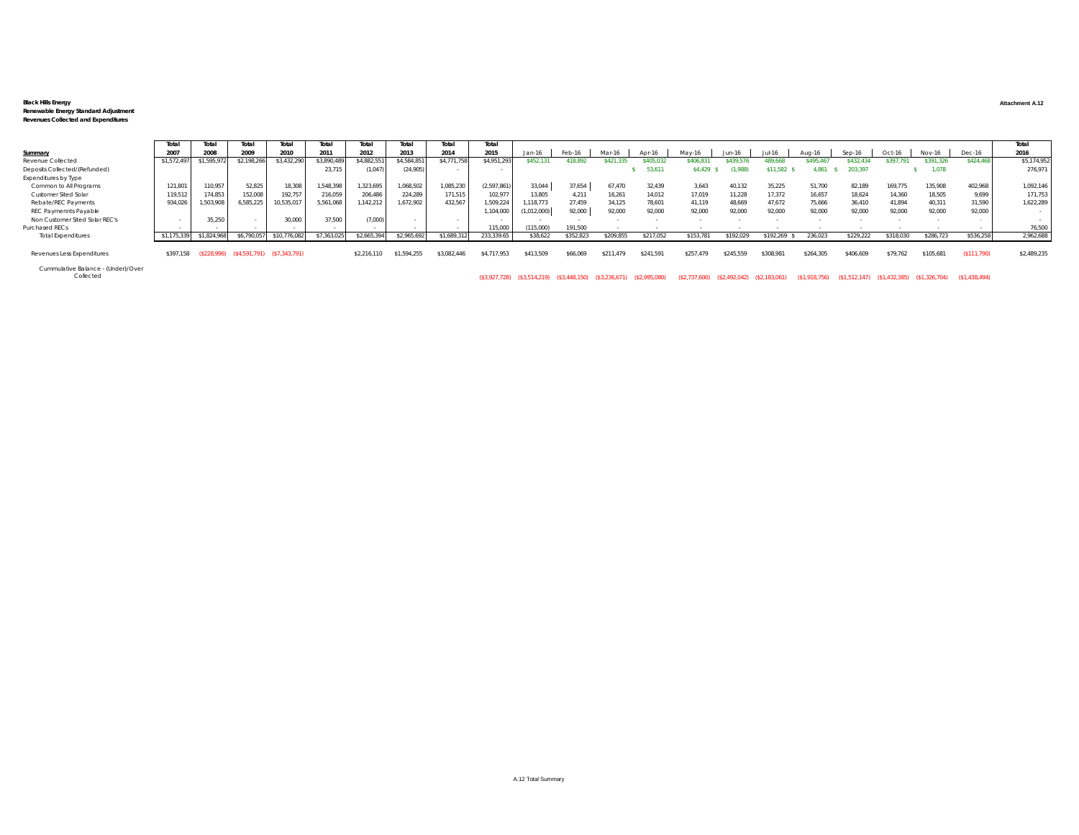## **Black Hills Energy Attachment A.12 Renewable Energy Standard Adjustment Revenues Collected and Expenditures**

|                                | Total      | Total       | Total                       | Total          | Total      | Total       | Total       | Total       | Total       |            |           |          |           |          |           |           |           |           |           |           |           | Total       |
|--------------------------------|------------|-------------|-----------------------------|----------------|------------|-------------|-------------|-------------|-------------|------------|-----------|----------|-----------|----------|-----------|-----------|-----------|-----------|-----------|-----------|-----------|-------------|
| Summary                        | 2007       |             | 2009                        | 2010           | 2011       | 2012        | 2013        | 2014        | 2015        | Jan-16     | Feb-16    | Mar-16   |           | May-     | Jun-16    |           |           | $Sep-16$  | Oct-16    | Nov-16    | Dec-16    | 2016        |
| Revenue Collected              | \$1.572.49 | \$1,595,972 | \$2,198,266                 | \$3,432,290    | \$3,890,48 | \$4,882,551 | \$4,584,851 | \$4,771,758 | \$4,951,293 | \$452.13   | 118.892   |          | 05.03     | 406.83   | 439.5     | 489.668   | \$495.46  | \$432.43  | 397.79    | \$391.326 | \$424,468 | \$5,174,952 |
| Deposits Collected/(Refunded)  |            |             |                             |                | 23.715     | (1,047)     | (24.905)    |             |             |            |           |          | 53,611    | \$4,429  | (1,988)   | \$11.582  | 4.861     | 203,397   |           |           |           | 276,971     |
| Expenditures by Type           |            |             |                             |                |            |             |             |             |             |            |           |          |           |          |           |           |           |           |           |           |           |             |
| Common to All Programs         | 121,801    | 110,957     | 52.825                      | 18.308         | 1,548,398  | 1.323.695   | 1,068,502   | 1,085,230   | (2,597,861) | 33,044     | 37,654    | 67.470   | 32.439    | 3.643    | 40.132    | 35.225    | 51,700    | 82.189    | 169.775   | 135,908   | 402.968   | 1,092,146   |
| Customer Sited Solar           | 119,512    | 174,853     | 152.008                     | 192.75         | 216,059    | 206,486     | 224.289     | 171,515     | 102.977     | 13.805     | 4.211     | 16.261   | 14,012    | 17.019   | 11.228    | 17.372    | 16,657    | 18.624    | 14,360    | 18,505    | 9,699     | 171,753     |
| Rebate/REC Payments            | 934,026    | 1.503.908   | 6,585,225                   | 10,535,017     | 5,561,068  | 142.212     | 1,672,902   | 432.567     | 1,509,224   | 118.773    | 27,459    | 34.125   | 78.601    | 41.119   | 48.669    | 47.672    | 75,666    | 36.410    | 41.894    | 40.311    | 31,590    | 1,622,289   |
| REC Paymennts Payable          |            |             |                             |                |            |             |             |             | 1,104,000   | 1,012,000) | 92.000    | 92.000   | 92.000    | 92.000   | 92.000    | 92.000    | 92.000    | 92.000    | 92.000    | 92.000    | 92.000    |             |
| Non Customer Sited Solar REC's |            | 35,250      |                             | 30,000         | 37,500     | (7,000)     |             |             |             |            |           |          |           |          |           |           |           |           |           |           |           |             |
| Purchased RECs                 |            |             |                             |                |            |             |             |             | 115,000     | (115,000)  | 191.500   |          |           |          |           |           |           |           |           |           |           | 76,500      |
| <b>Total Expenditures</b>      | \$1,175,33 | \$1,824,968 | \$6,790,057                 | \$10,776,082   | \$7,363,02 | \$2,665,394 | \$2,965,692 | \$1,689,312 | 233,339.65  | \$38,622   | \$352,823 | \$209.85 | \$217,052 | \$153,78 | :192.02   | \$192.269 | 236.023   | \$229.222 | \$318,030 | \$286,723 | \$536,258 | 2,962,688   |
|                                |            |             |                             |                |            |             |             |             |             |            |           |          |           |          |           |           |           |           |           |           |           |             |
| Revenues Less Expenditures     | \$397,158  |             | $(S228,996)$ $(S4,591,791)$ | (S7, 343, 791) |            | \$2,216,110 | \$1.594.255 | \$3.082.446 | \$4,717,953 | \$413.509  | \$66,06   | \$211.47 | \$241,591 | \$257.47 | \$245.559 | \$308,981 | \$264,305 | \$406,609 | \$79.762  | \$105,681 | \$111.790 | \$2,489,235 |

Cummulative Balance - (Under)/Over

Collected (\$3,927,728) (\$3,514,219) (\$3,448,150) (\$3,236,671) (\$2,995,080) (\$2,737,600) (\$2,492,042) (\$2,183,061) (\$1,918,756) (\$1,512,147) (\$1,432,385) (\$1,326,704) (\$1,438,494)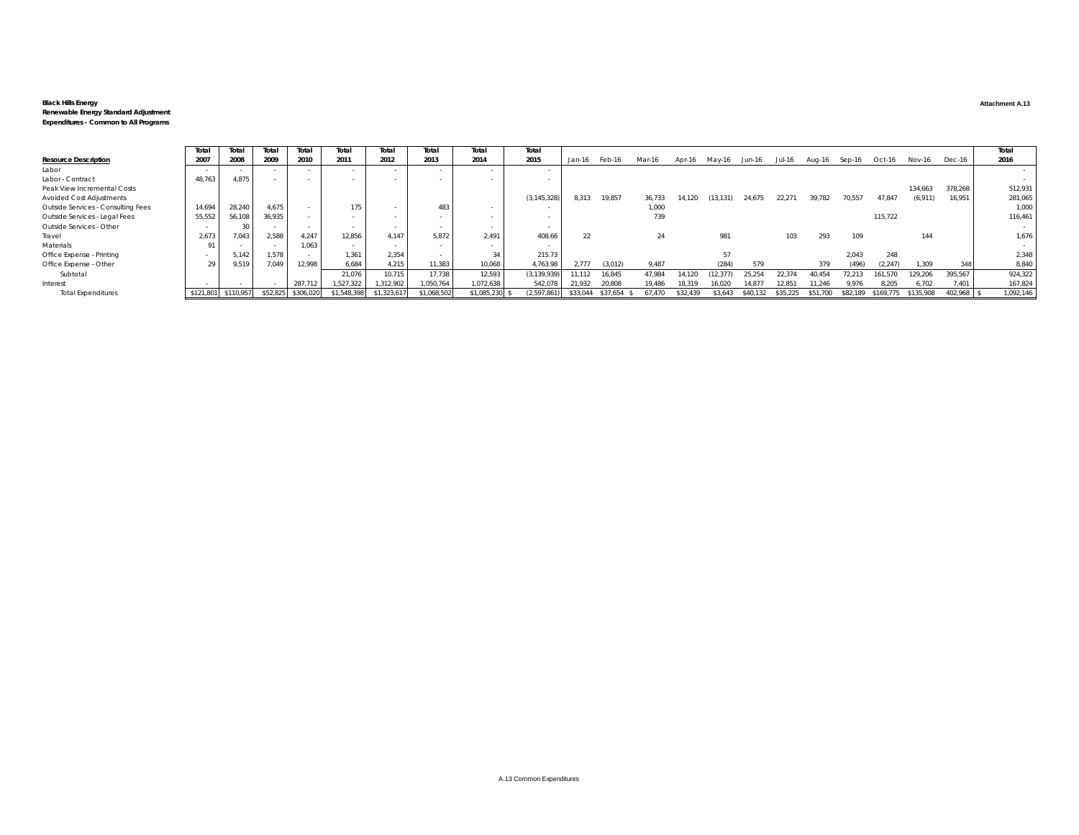## **Black Hills Energy Attachment A.13**

## **Renewable Energy Standard Adjustment Expenditures - Common to All Programs**

|                                    | Total     | Total     | Total    | Total     | Total       | Total      | Total       | Total          | Total         |               |          |        |          |                             |          |          |               |          |           |           |            | Total     |
|------------------------------------|-----------|-----------|----------|-----------|-------------|------------|-------------|----------------|---------------|---------------|----------|--------|----------|-----------------------------|----------|----------|---------------|----------|-----------|-----------|------------|-----------|
| <b>Resource Description</b>        | 2007      | 2008      | 2009     | 2010      | 2011        | 2012       | 2013        | 2014           | 2015          | Jan-16 Feb-16 |          | Mar-16 |          | Apr-16 May-16 Jun-16 Jul-16 |          |          | Aug-16 Sep-16 |          | Oct-16    | Nov-16    | Dec-16     | 2016      |
| Labor                              |           |           |          |           |             |            |             |                |               |               |          |        |          |                             |          |          |               |          |           |           |            |           |
| Labor - Contract                   | 48,763    | 4.875     |          |           |             |            |             |                |               |               |          |        |          |                             |          |          |               |          |           |           |            |           |
| Peak View Incremental Costs        |           |           |          |           |             |            |             |                |               |               |          |        |          |                             |          |          |               |          |           | 134,663   | 378,268    | 512,931   |
| Avoided Cost Adjustments           |           |           |          |           |             |            |             |                | (3, 145, 328) | 8.313         | 19.857   | 36,733 | 14.120   | (13, 131)                   | 24.675   | 22.271   | 39.782        | 70,557   | 47,847    | (6, 911)  | 16.951     | 281,065   |
| Outside Services - Consulting Fees | 14,694    | 28,240    | 4.675    |           |             |            | 483         |                |               |               |          | 1,000  |          |                             |          |          |               |          |           |           |            | 1,000     |
| Outside Services - Legal Fees      | 55,552    | 56,108    | 36.935   |           |             |            |             |                |               |               |          | 739    |          |                             |          |          |               |          | 115.722   |           |            | 116,461   |
| Outside Services - Other           |           |           |          |           |             |            |             |                |               |               |          |        |          |                             |          |          |               |          |           |           |            |           |
| Travel                             | 2,673     | 7.043     | 2.588    | 4.247     | 12.856      | 4.147      | 5.872       | 2.491          | 408.66        | 22            |          | 24     |          | 981                         |          | 103      | 293           | 109      |           | 144       |            | 1,676     |
| Materials                          |           |           |          | 1.063     |             |            |             |                |               |               |          |        |          |                             |          |          |               |          |           |           |            |           |
| Office Expense - Printing          |           | 5.142     | 1,578    |           | 1.361       | 2,354      |             | 34             | 215.73        |               |          |        |          |                             |          |          |               | 2.043    | 248       |           |            | 2,348     |
| Office Expense - Other             |           | 9,519     | 7,049    | 12,998    | 6,684       | 4,215      | 11,383      | 10,068         | 4,763.98      | 2.777         | (3,012)  | 9,487  |          | (284)                       | 579      |          | 379           | (496)    | (2.247)   | 1,309     | 348        | 8,840     |
| Subtotal                           |           |           |          |           | 21,076      | 10,715     | 17.738      | 12.593         | (3, 139, 939) | 11.112        | 16.845   | 47,984 | 14.120   |                             | 25.254   | 22.374   | 40.454        | 7.213    | 161.570   | 129,206   | 395,567    | 924,322   |
| Interest                           |           |           |          | 287,712   | ,527,322    | 312,902    | 1,050,764   | 1,072,638      | 542,078       | 21,932        | 20,808   | 19.486 | 18.319   | 16.020                      | 14.87    | 2.85     | 11.246        | 9.976    | 8.205     | 6,702     | 7,401      | 167,824   |
| <b>Total Expenditures</b>          | \$121,801 | \$110,957 | \$52,825 | \$306,020 | \$1,548,398 | \$1,323,61 | \$1,068,502 | \$1,085,230 \$ | (2,597,861)   | \$33,044      | \$37,654 |        | \$32,439 | \$3,643                     | \$40,132 | \$35.225 | \$51,700      | \$82,189 | \$169,775 | \$135,908 | 102,968 \$ | 1,092,146 |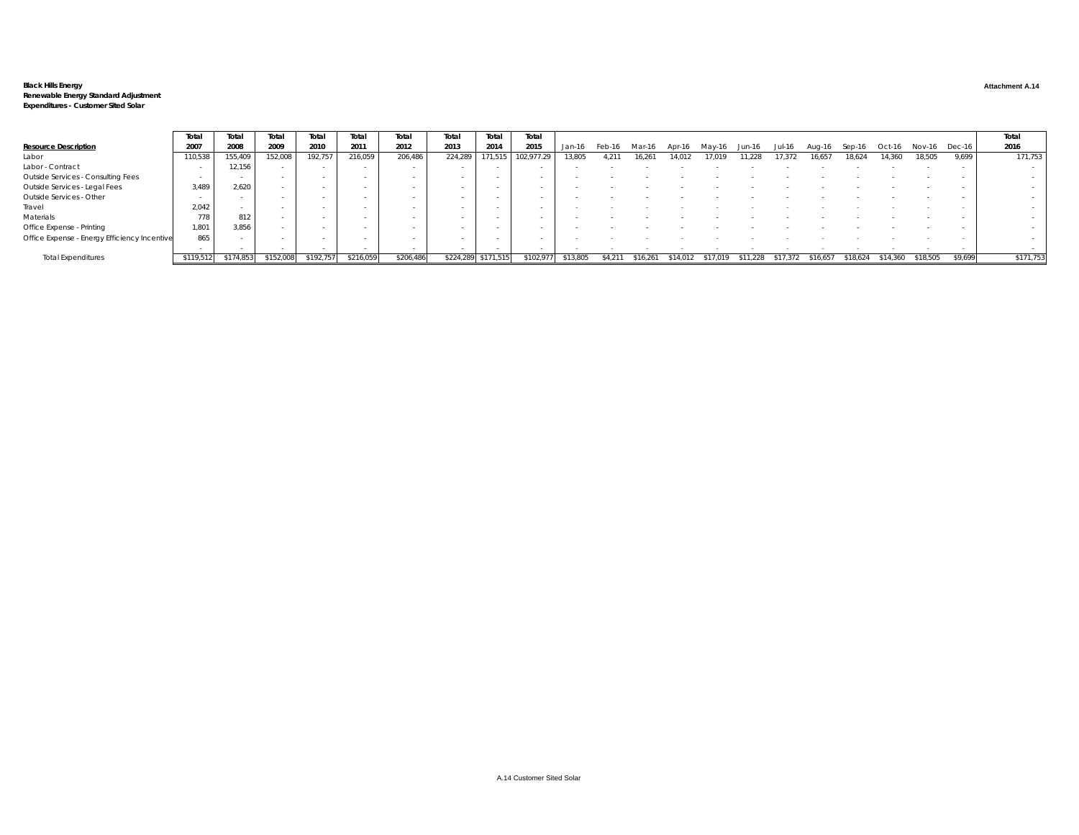# Black Hills Energy<br>Renewable Energy Standard Adjustment<br>Expenditures - Customer Sited Solar

|                                              | Total     | Total     | Total     | Total     | Total     | Total     | Total   | Total               | Total     |          |        |        |      |       |        |        |          |           |               |         | Total     |
|----------------------------------------------|-----------|-----------|-----------|-----------|-----------|-----------|---------|---------------------|-----------|----------|--------|--------|------|-------|--------|--------|----------|-----------|---------------|---------|-----------|
| <b>Resource Description</b>                  | 2007      | 2008      | 2009      | 2010      | 2011      | 2012      | 2013    | 2014                | 2015      | Jan-16   | Feb-16 |        |      |       |        | Aua-16 |          | Oct-16    | Nov-16 Dec-16 |         | 2016      |
| Labor                                        | 110,538   | 155,409   | 152,008   | 192,757   | 216,059   | 206,486   | 224,289 | 171,515             |           | 13,805   | 4.211  | 16.261 | 4.01 | 1.228 | 17.372 | 16,657 | 18.624   | 14.360    | 18.505        | 9.699   | 171,753   |
| Labor - Contract                             |           | 12,156    |           |           |           |           | $\sim$  |                     |           |          |        |        |      |       |        |        |          |           |               |         | $\sim$    |
| Outside Services - Consulting Fees           | $\sim$    |           |           |           |           |           |         |                     |           |          |        |        |      |       |        |        |          |           |               |         |           |
| Outside Services - Legal Fees                | 3.489     | 2.620     |           |           |           |           |         |                     |           |          |        |        |      |       |        |        |          |           |               |         |           |
| Outside Services - Other                     |           |           |           |           |           |           |         |                     |           |          |        |        |      |       |        |        |          |           |               |         | $\sim$    |
| Travel                                       | 2.042     | $\sim$    |           |           |           |           |         |                     |           |          |        |        |      |       |        |        |          |           |               |         |           |
| Materials                                    | 778       | 812       |           |           |           |           |         |                     |           |          |        |        |      |       |        |        |          |           |               |         |           |
| Office Expense - Printing                    | 1,801     | 3,856     |           |           |           |           |         |                     |           |          |        |        |      |       |        |        |          |           |               |         |           |
| Office Expense - Energy Efficiency Incentive | 865       |           |           |           |           |           | $\sim$  |                     |           |          |        |        |      |       |        |        |          |           |               |         |           |
|                                              |           |           |           |           |           |           |         |                     |           |          |        |        |      |       |        |        |          |           |               |         |           |
| <b>Total Expenditures</b>                    | \$119,512 | \$174,853 | \$152,008 | \$192,757 | \$216,059 | \$206,486 |         | \$224.289 \$171.515 | \$102.977 | \$13.805 |        | 16.26  |      |       |        | 516.65 | \$18.624 | \$14.360. | \$18,505      | \$9.699 | \$171,753 |